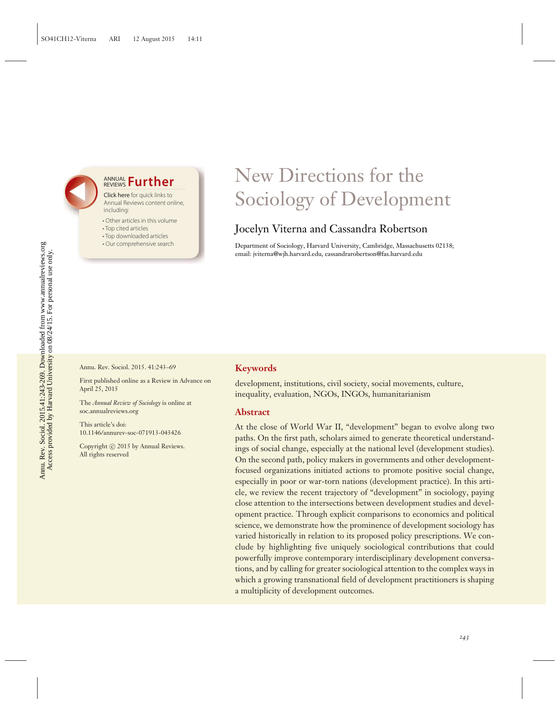## **ANNUAL Further**

Click here for quick links to Annual Reviews content online, including:

- Other articles in this volume
- Top cited articles
- Top downloaded articles
- Our comprehensive search

# New Directions for the Sociology of Development

## Jocelyn Viterna and Cassandra Robertson

Department of Sociology, Harvard University, Cambridge, Massachusetts 02138; email: jviterna@wjh.harvard.edu, cassandrarobertson@fas.harvard.edu

Annu. Rev. Sociol. 2015. 41:243–69

First published online as a Review in Advance on April 25, 2015

The *Annual Review of Sociology* is online at soc.annualreviews.org

This article's doi: 10.1146/annurev-soc-071913-043426

Copyright © 2015 by Annual Reviews. All rights reserved

#### **Keywords**

development, institutions, civil society, social movements, culture, inequality, evaluation, NGOs, INGOs, humanitarianism

#### **Abstract**

At the close of World War II, "development" began to evolve along two paths. On the first path, scholars aimed to generate theoretical understandings of social change, especially at the national level (development studies). On the second path, policy makers in governments and other developmentfocused organizations initiated actions to promote positive social change, especially in poor or war-torn nations (development practice). In this article, we review the recent trajectory of "development" in sociology, paying close attention to the intersections between development studies and development practice. Through explicit comparisons to economics and political science, we demonstrate how the prominence of development sociology has varied historically in relation to its proposed policy prescriptions. We conclude by highlighting five uniquely sociological contributions that could powerfully improve contemporary interdisciplinary development conversations, and by calling for greater sociological attention to the complex ways in which a growing transnational field of development practitioners is shaping a multiplicity of development outcomes.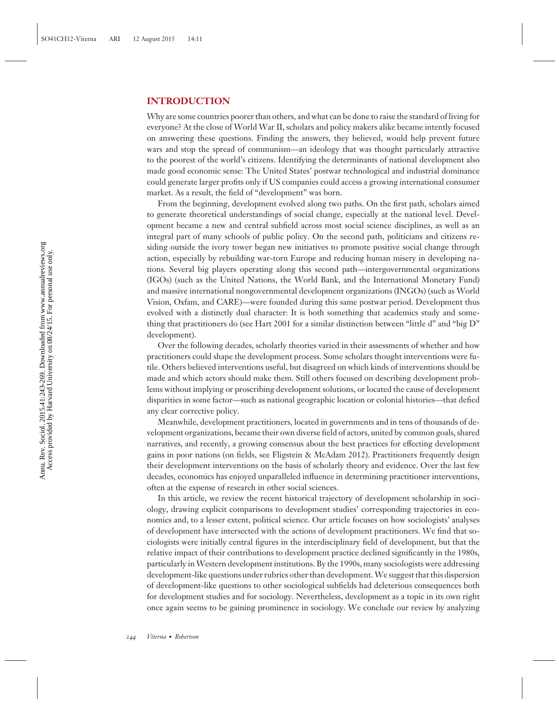#### **INTRODUCTION**

Why are some countries poorer than others, and what can be done to raise the standard of living for everyone? At the close of World War II, scholars and policy makers alike became intently focused on answering these questions. Finding the answers, they believed, would help prevent future wars and stop the spread of communism—an ideology that was thought particularly attractive to the poorest of the world's citizens. Identifying the determinants of national development also made good economic sense: The United States' postwar technological and industrial dominance could generate larger profits only if US companies could access a growing international consumer market. As a result, the field of "development" was born.

From the beginning, development evolved along two paths. On the first path, scholars aimed to generate theoretical understandings of social change, especially at the national level. Development became a new and central subfield across most social science disciplines, as well as an integral part of many schools of public policy. On the second path, politicians and citizens residing outside the ivory tower began new initiatives to promote positive social change through action, especially by rebuilding war-torn Europe and reducing human misery in developing nations. Several big players operating along this second path—intergovernmental organizations (IGOs) (such as the United Nations, the World Bank, and the International Monetary Fund) and massive international nongovernmental development organizations (INGOs) (such as World Vision, Oxfam, and CARE)—were founded during this same postwar period. Development thus evolved with a distinctly dual character: It is both something that academics study and something that practitioners do (see Hart 2001 for a similar distinction between "little d" and "big D" development).

Over the following decades, scholarly theories varied in their assessments of whether and how practitioners could shape the development process. Some scholars thought interventions were futile. Others believed interventions useful, but disagreed on which kinds of interventions should be made and which actors should make them. Still others focused on describing development problems without implying or proscribing development solutions, or located the cause of development disparities in some factor—such as national geographic location or colonial histories—that defied any clear corrective policy.

Meanwhile, development practitioners, located in governments and in tens of thousands of development organizations, became their own diverse field of actors, united by common goals, shared narratives, and recently, a growing consensus about the best practices for effecting development gains in poor nations (on fields, see Fligstein & McAdam 2012). Practitioners frequently design their development interventions on the basis of scholarly theory and evidence. Over the last few decades, economics has enjoyed unparalleled influence in determining practitioner interventions, often at the expense of research in other social sciences.

In this article, we review the recent historical trajectory of development scholarship in sociology, drawing explicit comparisons to development studies' corresponding trajectories in economics and, to a lesser extent, political science. Our article focuses on how sociologists' analyses of development have intersected with the actions of development practitioners. We find that sociologists were initially central figures in the interdisciplinary field of development, but that the relative impact of their contributions to development practice declined significantly in the 1980s, particularly in Western development institutions. By the 1990s, many sociologists were addressing development-like questions under rubrics other than development.We suggest that this dispersion of development-like questions to other sociological subfields had deleterious consequences both for development studies and for sociology. Nevertheless, development as a topic in its own right once again seems to be gaining prominence in sociology. We conclude our review by analyzing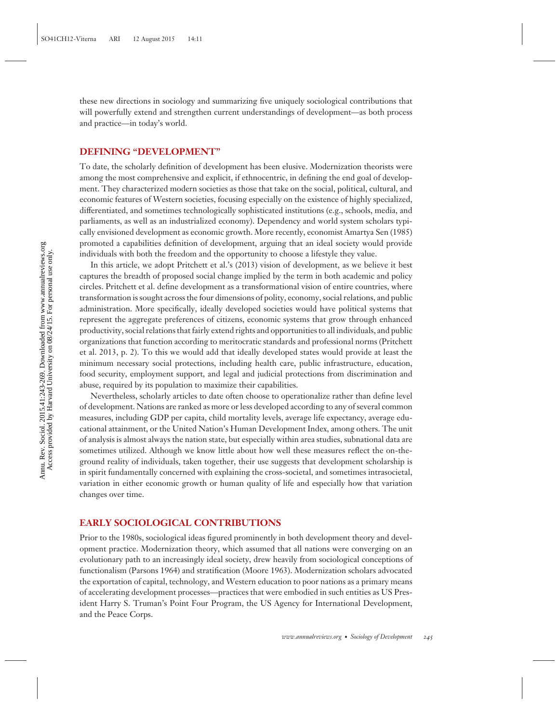these new directions in sociology and summarizing five uniquely sociological contributions that will powerfully extend and strengthen current understandings of development—as both process and practice—in today's world.

#### **DEFINING "DEVELOPMENT"**

To date, the scholarly definition of development has been elusive. Modernization theorists were among the most comprehensive and explicit, if ethnocentric, in defining the end goal of development. They characterized modern societies as those that take on the social, political, cultural, and economic features of Western societies, focusing especially on the existence of highly specialized, differentiated, and sometimes technologically sophisticated institutions (e.g., schools, media, and parliaments, as well as an industrialized economy). Dependency and world system scholars typically envisioned development as economic growth. More recently, economist Amartya Sen (1985) promoted a capabilities definition of development, arguing that an ideal society would provide individuals with both the freedom and the opportunity to choose a lifestyle they value.

In this article, we adopt Pritchett et al.'s (2013) vision of development, as we believe it best captures the breadth of proposed social change implied by the term in both academic and policy circles. Pritchett et al. define development as a transformational vision of entire countries, where transformation is sought across the four dimensions of polity, economy, social relations, and public administration. More specifically, ideally developed societies would have political systems that represent the aggregate preferences of citizens, economic systems that grow through enhanced productivity, social relations that fairly extend rights and opportunities to all individuals, and public organizations that function according to meritocratic standards and professional norms (Pritchett et al. 2013, p. 2). To this we would add that ideally developed states would provide at least the minimum necessary social protections, including health care, public infrastructure, education, food security, employment support, and legal and judicial protections from discrimination and abuse, required by its population to maximize their capabilities.

Nevertheless, scholarly articles to date often choose to operationalize rather than define level of development. Nations are ranked as more or less developed according to any of several common measures, including GDP per capita, child mortality levels, average life expectancy, average educational attainment, or the United Nation's Human Development Index, among others. The unit of analysis is almost always the nation state, but especially within area studies, subnational data are sometimes utilized. Although we know little about how well these measures reflect the on-theground reality of individuals, taken together, their use suggests that development scholarship is in spirit fundamentally concerned with explaining the cross-societal, and sometimes intrasocietal, variation in either economic growth or human quality of life and especially how that variation changes over time.

#### **EARLY SOCIOLOGICAL CONTRIBUTIONS**

Prior to the 1980s, sociological ideas figured prominently in both development theory and development practice. Modernization theory, which assumed that all nations were converging on an evolutionary path to an increasingly ideal society, drew heavily from sociological conceptions of functionalism (Parsons 1964) and stratification (Moore 1963). Modernization scholars advocated the exportation of capital, technology, and Western education to poor nations as a primary means of accelerating development processes—practices that were embodied in such entities as US President Harry S. Truman's Point Four Program, the US Agency for International Development, and the Peace Corps.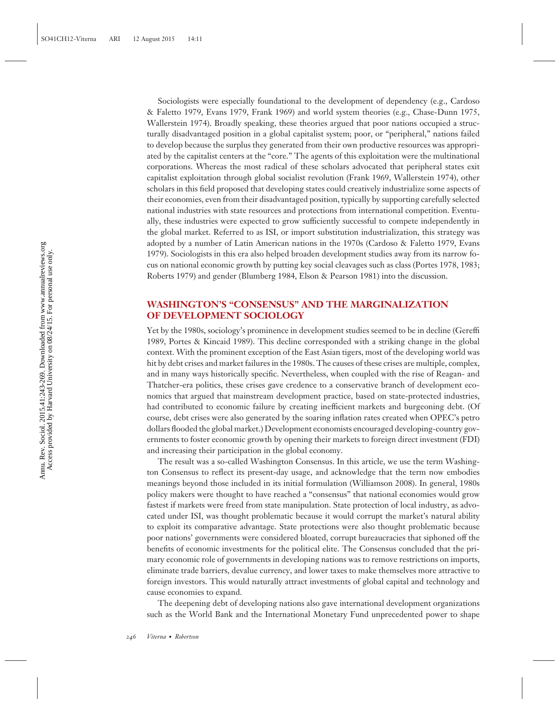Sociologists were especially foundational to the development of dependency (e.g., Cardoso & Faletto 1979, Evans 1979, Frank 1969) and world system theories (e.g., Chase-Dunn 1975, Wallerstein 1974). Broadly speaking, these theories argued that poor nations occupied a structurally disadvantaged position in a global capitalist system; poor, or "peripheral," nations failed to develop because the surplus they generated from their own productive resources was appropriated by the capitalist centers at the "core." The agents of this exploitation were the multinational corporations. Whereas the most radical of these scholars advocated that peripheral states exit capitalist exploitation through global socialist revolution (Frank 1969, Wallerstein 1974), other scholars in this field proposed that developing states could creatively industrialize some aspects of their economies, even from their disadvantaged position, typically by supporting carefully selected national industries with state resources and protections from international competition. Eventually, these industries were expected to grow sufficiently successful to compete independently in the global market. Referred to as ISI, or import substitution industrialization, this strategy was adopted by a number of Latin American nations in the 1970s (Cardoso & Faletto 1979, Evans 1979). Sociologists in this era also helped broaden development studies away from its narrow focus on national economic growth by putting key social cleavages such as class (Portes 1978, 1983; Roberts 1979) and gender (Blumberg 1984, Elson & Pearson 1981) into the discussion.

### **WASHINGTON'S "CONSENSUS" AND THE MARGINALIZATION OF DEVELOPMENT SOCIOLOGY**

Yet by the 1980s, sociology's prominence in development studies seemed to be in decline (Gereffi 1989, Portes & Kincaid 1989). This decline corresponded with a striking change in the global context. With the prominent exception of the East Asian tigers, most of the developing world was hit by debt crises and market failures in the 1980s. The causes of these crises are multiple, complex, and in many ways historically specific. Nevertheless, when coupled with the rise of Reagan- and Thatcher-era politics, these crises gave credence to a conservative branch of development economics that argued that mainstream development practice, based on state-protected industries, had contributed to economic failure by creating inefficient markets and burgeoning debt. (Of course, debt crises were also generated by the soaring inflation rates created when OPEC's petro dollars flooded the global market.) Development economists encouraged developing-country governments to foster economic growth by opening their markets to foreign direct investment (FDI) and increasing their participation in the global economy.

The result was a so-called Washington Consensus. In this article, we use the term Washington Consensus to reflect its present-day usage, and acknowledge that the term now embodies meanings beyond those included in its initial formulation (Williamson 2008). In general, 1980s policy makers were thought to have reached a "consensus" that national economies would grow fastest if markets were freed from state manipulation. State protection of local industry, as advocated under ISI, was thought problematic because it would corrupt the market's natural ability to exploit its comparative advantage. State protections were also thought problematic because poor nations' governments were considered bloated, corrupt bureaucracies that siphoned off the benefits of economic investments for the political elite. The Consensus concluded that the primary economic role of governments in developing nations was to remove restrictions on imports, eliminate trade barriers, devalue currency, and lower taxes to make themselves more attractive to foreign investors. This would naturally attract investments of global capital and technology and cause economies to expand.

The deepening debt of developing nations also gave international development organizations such as the World Bank and the International Monetary Fund unprecedented power to shape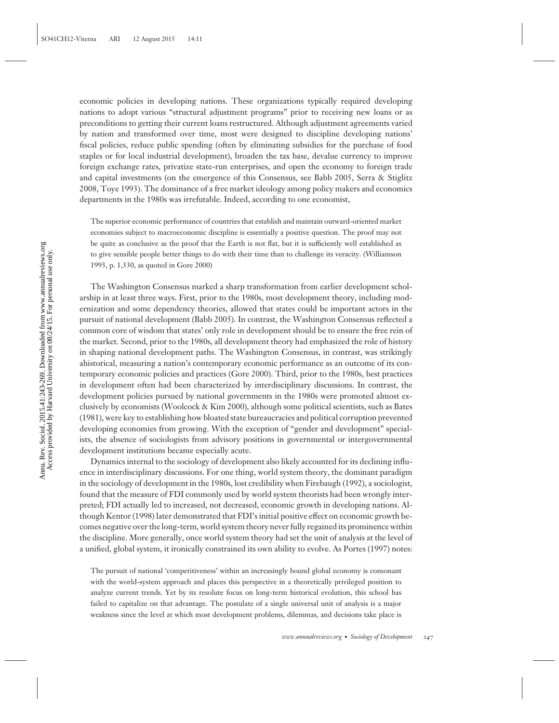economic policies in developing nations. These organizations typically required developing nations to adopt various "structural adjustment programs" prior to receiving new loans or as preconditions to getting their current loans restructured. Although adjustment agreements varied by nation and transformed over time, most were designed to discipline developing nations' fiscal policies, reduce public spending (often by eliminating subsidies for the purchase of food staples or for local industrial development), broaden the tax base, devalue currency to improve foreign exchange rates, privatize state-run enterprises, and open the economy to foreign trade and capital investments (on the emergence of this Consensus, see Babb 2005, Serra & Stiglitz 2008, Toye 1993). The dominance of a free market ideology among policy makers and economics departments in the 1980s was irrefutable. Indeed, according to one economist,

The superior economic performance of countries that establish and maintain outward-oriented market economies subject to macroeconomic discipline is essentially a positive question. The proof may not be quite as conclusive as the proof that the Earth is not flat, but it is sufficiently well established as to give sensible people better things to do with their time than to challenge its veracity. (Williamson 1993, p. 1,330, as quoted in Gore 2000)

The Washington Consensus marked a sharp transformation from earlier development scholarship in at least three ways. First, prior to the 1980s, most development theory, including modernization and some dependency theories, allowed that states could be important actors in the pursuit of national development (Babb 2005). In contrast, the Washington Consensus reflected a common core of wisdom that states' only role in development should be to ensure the free rein of the market. Second, prior to the 1980s, all development theory had emphasized the role of history in shaping national development paths. The Washington Consensus, in contrast, was strikingly ahistorical, measuring a nation's contemporary economic performance as an outcome of its contemporary economic policies and practices (Gore 2000). Third, prior to the 1980s, best practices in development often had been characterized by interdisciplinary discussions. In contrast, the development policies pursued by national governments in the 1980s were promoted almost exclusively by economists (Woolcock & Kim 2000), although some political scientists, such as Bates (1981), were key to establishing how bloated state bureaucracies and political corruption prevented developing economies from growing. With the exception of "gender and development" specialists, the absence of sociologists from advisory positions in governmental or intergovernmental development institutions became especially acute.

Dynamics internal to the sociology of development also likely accounted for its declining influence in interdisciplinary discussions. For one thing, world system theory, the dominant paradigm in the sociology of development in the 1980s, lost credibility when Firebaugh (1992), a sociologist, found that the measure of FDI commonly used by world system theorists had been wrongly interpreted; FDI actually led to increased, not decreased, economic growth in developing nations. Although Kentor (1998) later demonstrated that FDI's initial positive effect on economic growth becomes negative over the long-term, world system theory never fully regained its prominence within the discipline. More generally, once world system theory had set the unit of analysis at the level of a unified, global system, it ironically constrained its own ability to evolve. As Portes (1997) notes:

The pursuit of national 'competitiveness' within an increasingly bound global economy is consonant with the world-system approach and places this perspective in a theoretically privileged position to analyze current trends. Yet by its resolute focus on long-term historical evolution, this school has failed to capitalize on that advantage. The postulate of a single universal unit of analysis is a major weakness since the level at which most development problems, dilemmas, and decisions take place is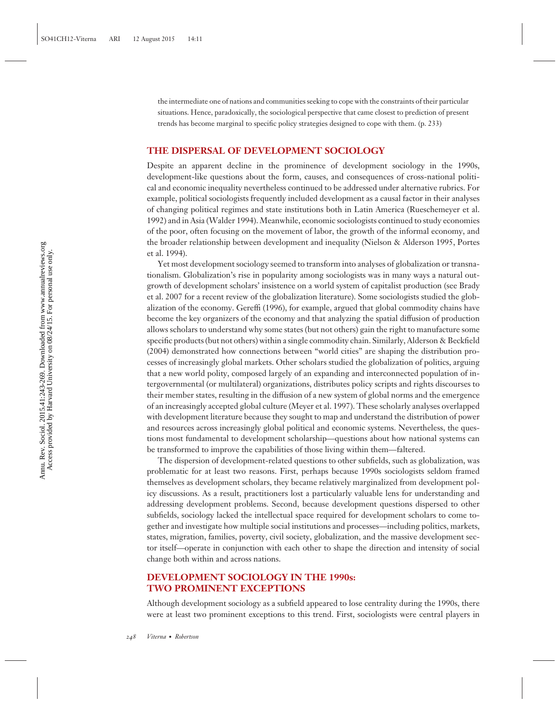the intermediate one of nations and communities seeking to cope with the constraints of their particular situations. Hence, paradoxically, the sociological perspective that came closest to prediction of present trends has become marginal to specific policy strategies designed to cope with them. (p. 233)

#### **THE DISPERSAL OF DEVELOPMENT SOCIOLOGY**

Despite an apparent decline in the prominence of development sociology in the 1990s, development-like questions about the form, causes, and consequences of cross-national political and economic inequality nevertheless continued to be addressed under alternative rubrics. For example, political sociologists frequently included development as a causal factor in their analyses of changing political regimes and state institutions both in Latin America (Rueschemeyer et al. 1992) and in Asia (Walder 1994). Meanwhile, economic sociologists continued to study economies of the poor, often focusing on the movement of labor, the growth of the informal economy, and the broader relationship between development and inequality (Nielson & Alderson 1995, Portes et al. 1994).

Yet most development sociology seemed to transform into analyses of globalization or transnationalism. Globalization's rise in popularity among sociologists was in many ways a natural outgrowth of development scholars' insistence on a world system of capitalist production (see Brady et al. 2007 for a recent review of the globalization literature). Some sociologists studied the globalization of the economy. Gereffi (1996), for example, argued that global commodity chains have become the key organizers of the economy and that analyzing the spatial diffusion of production allows scholars to understand why some states (but not others) gain the right to manufacture some specific products (but not others) within a single commodity chain. Similarly, Alderson & Beckfield (2004) demonstrated how connections between "world cities" are shaping the distribution processes of increasingly global markets. Other scholars studied the globalization of politics, arguing that a new world polity, composed largely of an expanding and interconnected population of intergovernmental (or multilateral) organizations, distributes policy scripts and rights discourses to their member states, resulting in the diffusion of a new system of global norms and the emergence of an increasingly accepted global culture (Meyer et al. 1997). These scholarly analyses overlapped with development literature because they sought to map and understand the distribution of power and resources across increasingly global political and economic systems. Nevertheless, the questions most fundamental to development scholarship—questions about how national systems can be transformed to improve the capabilities of those living within them—faltered.

The dispersion of development-related questions to other subfields, such as globalization, was problematic for at least two reasons. First, perhaps because 1990s sociologists seldom framed themselves as development scholars, they became relatively marginalized from development policy discussions. As a result, practitioners lost a particularly valuable lens for understanding and addressing development problems. Second, because development questions dispersed to other subfields, sociology lacked the intellectual space required for development scholars to come together and investigate how multiple social institutions and processes—including politics, markets, states, migration, families, poverty, civil society, globalization, and the massive development sector itself—operate in conjunction with each other to shape the direction and intensity of social change both within and across nations.

#### **DEVELOPMENT SOCIOLOGY IN THE 1990s: TWO PROMINENT EXCEPTIONS**

Although development sociology as a subfield appeared to lose centrality during the 1990s, there were at least two prominent exceptions to this trend. First, sociologists were central players in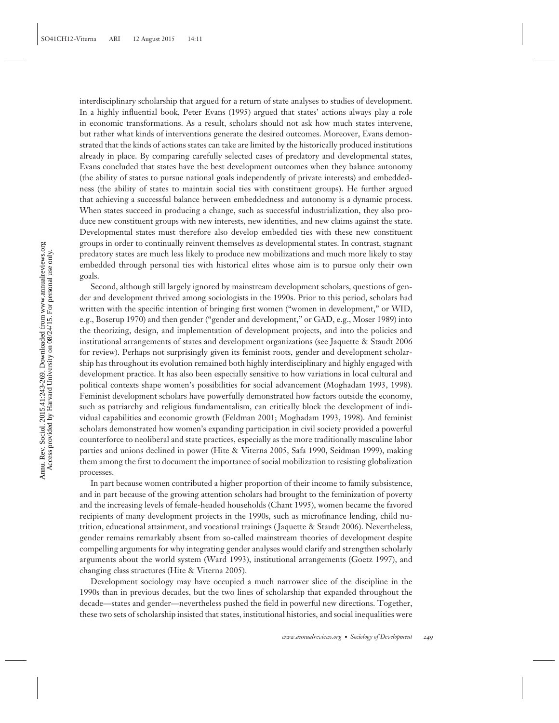interdisciplinary scholarship that argued for a return of state analyses to studies of development. In a highly influential book, Peter Evans (1995) argued that states' actions always play a role in economic transformations. As a result, scholars should not ask how much states intervene, but rather what kinds of interventions generate the desired outcomes. Moreover, Evans demonstrated that the kinds of actions states can take are limited by the historically produced institutions already in place. By comparing carefully selected cases of predatory and developmental states, Evans concluded that states have the best development outcomes when they balance autonomy (the ability of states to pursue national goals independently of private interests) and embeddedness (the ability of states to maintain social ties with constituent groups). He further argued that achieving a successful balance between embeddedness and autonomy is a dynamic process. When states succeed in producing a change, such as successful industrialization, they also produce new constituent groups with new interests, new identities, and new claims against the state. Developmental states must therefore also develop embedded ties with these new constituent groups in order to continually reinvent themselves as developmental states. In contrast, stagnant predatory states are much less likely to produce new mobilizations and much more likely to stay embedded through personal ties with historical elites whose aim is to pursue only their own goals.

Second, although still largely ignored by mainstream development scholars, questions of gender and development thrived among sociologists in the 1990s. Prior to this period, scholars had written with the specific intention of bringing first women ("women in development," or WID, e.g., Boserup 1970) and then gender ("gender and development," or GAD, e.g., Moser 1989) into the theorizing, design, and implementation of development projects, and into the policies and institutional arrangements of states and development organizations (see Jaquette & Staudt 2006 for review). Perhaps not surprisingly given its feminist roots, gender and development scholarship has throughout its evolution remained both highly interdisciplinary and highly engaged with development practice. It has also been especially sensitive to how variations in local cultural and political contexts shape women's possibilities for social advancement (Moghadam 1993, 1998). Feminist development scholars have powerfully demonstrated how factors outside the economy, such as patriarchy and religious fundamentalism, can critically block the development of individual capabilities and economic growth (Feldman 2001; Moghadam 1993, 1998). And feminist scholars demonstrated how women's expanding participation in civil society provided a powerful counterforce to neoliberal and state practices, especially as the more traditionally masculine labor parties and unions declined in power (Hite & Viterna 2005, Safa 1990, Seidman 1999), making them among the first to document the importance of social mobilization to resisting globalization processes.

In part because women contributed a higher proportion of their income to family subsistence, and in part because of the growing attention scholars had brought to the feminization of poverty and the increasing levels of female-headed households (Chant 1995), women became the favored recipients of many development projects in the 1990s, such as microfinance lending, child nutrition, educational attainment, and vocational trainings ( Jaquette & Staudt 2006). Nevertheless, gender remains remarkably absent from so-called mainstream theories of development despite compelling arguments for why integrating gender analyses would clarify and strengthen scholarly arguments about the world system (Ward 1993), institutional arrangements (Goetz 1997), and changing class structures (Hite & Viterna 2005).

Development sociology may have occupied a much narrower slice of the discipline in the 1990s than in previous decades, but the two lines of scholarship that expanded throughout the decade—states and gender—nevertheless pushed the field in powerful new directions. Together, these two sets of scholarship insisted that states, institutional histories, and social inequalities were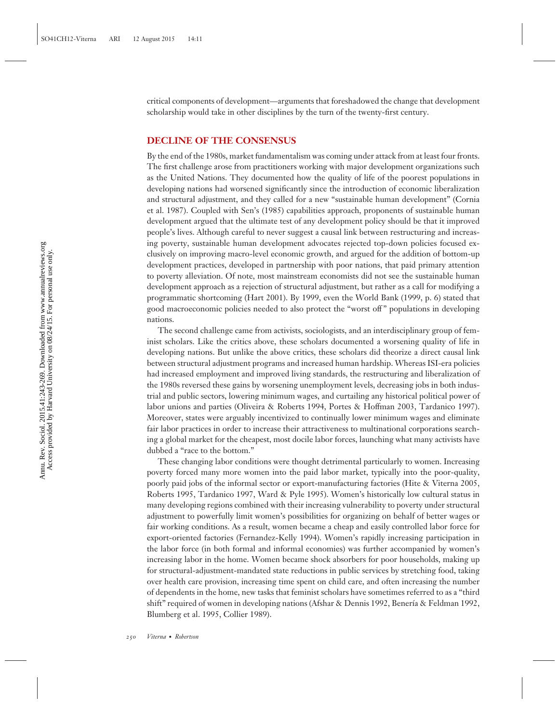critical components of development—arguments that foreshadowed the change that development scholarship would take in other disciplines by the turn of the twenty-first century.

#### **DECLINE OF THE CONSENSUS**

By the end of the 1980s, market fundamentalism was coming under attack from at least four fronts. The first challenge arose from practitioners working with major development organizations such as the United Nations. They documented how the quality of life of the poorest populations in developing nations had worsened significantly since the introduction of economic liberalization and structural adjustment, and they called for a new "sustainable human development" (Cornia et al. 1987). Coupled with Sen's (1985) capabilities approach, proponents of sustainable human development argued that the ultimate test of any development policy should be that it improved people's lives. Although careful to never suggest a causal link between restructuring and increasing poverty, sustainable human development advocates rejected top-down policies focused exclusively on improving macro-level economic growth, and argued for the addition of bottom-up development practices, developed in partnership with poor nations, that paid primary attention to poverty alleviation. Of note, most mainstream economists did not see the sustainable human development approach as a rejection of structural adjustment, but rather as a call for modifying a programmatic shortcoming (Hart 2001). By 1999, even the World Bank (1999, p. 6) stated that good macroeconomic policies needed to also protect the "worst off " populations in developing nations.

The second challenge came from activists, sociologists, and an interdisciplinary group of feminist scholars. Like the critics above, these scholars documented a worsening quality of life in developing nations. But unlike the above critics, these scholars did theorize a direct causal link between structural adjustment programs and increased human hardship. Whereas ISI-era policies had increased employment and improved living standards, the restructuring and liberalization of the 1980s reversed these gains by worsening unemployment levels, decreasing jobs in both industrial and public sectors, lowering minimum wages, and curtailing any historical political power of labor unions and parties (Oliveira & Roberts 1994, Portes & Hoffman 2003, Tardanico 1997). Moreover, states were arguably incentivized to continually lower minimum wages and eliminate fair labor practices in order to increase their attractiveness to multinational corporations searching a global market for the cheapest, most docile labor forces, launching what many activists have dubbed a "race to the bottom."

These changing labor conditions were thought detrimental particularly to women. Increasing poverty forced many more women into the paid labor market, typically into the poor-quality, poorly paid jobs of the informal sector or export-manufacturing factories (Hite & Viterna 2005, Roberts 1995, Tardanico 1997, Ward & Pyle 1995). Women's historically low cultural status in many developing regions combined with their increasing vulnerability to poverty under structural adjustment to powerfully limit women's possibilities for organizing on behalf of better wages or fair working conditions. As a result, women became a cheap and easily controlled labor force for export-oriented factories (Fernandez-Kelly 1994). Women's rapidly increasing participation in the labor force (in both formal and informal economies) was further accompanied by women's increasing labor in the home. Women became shock absorbers for poor households, making up for structural-adjustment-mandated state reductions in public services by stretching food, taking over health care provision, increasing time spent on child care, and often increasing the number of dependents in the home, new tasks that feminist scholars have sometimes referred to as a "third shift" required of women in developing nations (Afshar & Dennis 1992, Benería & Feldman 1992, Blumberg et al. 1995, Collier 1989).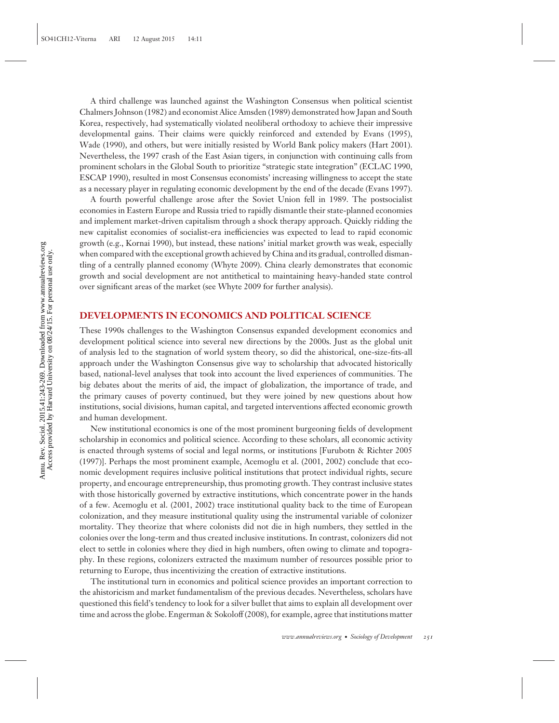A third challenge was launched against the Washington Consensus when political scientist Chalmers Johnson (1982) and economist Alice Amsden (1989) demonstrated how Japan and South Korea, respectively, had systematically violated neoliberal orthodoxy to achieve their impressive developmental gains. Their claims were quickly reinforced and extended by Evans (1995), Wade (1990), and others, but were initially resisted by World Bank policy makers (Hart 2001). Nevertheless, the 1997 crash of the East Asian tigers, in conjunction with continuing calls from prominent scholars in the Global South to prioritize "strategic state integration" (ECLAC 1990, ESCAP 1990), resulted in most Consensus economists' increasing willingness to accept the state as a necessary player in regulating economic development by the end of the decade (Evans 1997).

A fourth powerful challenge arose after the Soviet Union fell in 1989. The postsocialist economies in Eastern Europe and Russia tried to rapidly dismantle their state-planned economies and implement market-driven capitalism through a shock therapy approach. Quickly ridding the new capitalist economies of socialist-era inefficiencies was expected to lead to rapid economic growth (e.g., Kornai 1990), but instead, these nations' initial market growth was weak, especially when compared with the exceptional growth achieved by China and its gradual, controlled dismantling of a centrally planned economy (Whyte 2009). China clearly demonstrates that economic growth and social development are not antithetical to maintaining heavy-handed state control over significant areas of the market (see Whyte 2009 for further analysis).

#### **DEVELOPMENTS IN ECONOMICS AND POLITICAL SCIENCE**

These 1990s challenges to the Washington Consensus expanded development economics and development political science into several new directions by the 2000s. Just as the global unit of analysis led to the stagnation of world system theory, so did the ahistorical, one-size-fits-all approach under the Washington Consensus give way to scholarship that advocated historically based, national-level analyses that took into account the lived experiences of communities. The big debates about the merits of aid, the impact of globalization, the importance of trade, and the primary causes of poverty continued, but they were joined by new questions about how institutions, social divisions, human capital, and targeted interventions affected economic growth and human development.

New institutional economics is one of the most prominent burgeoning fields of development scholarship in economics and political science. According to these scholars, all economic activity is enacted through systems of social and legal norms, or institutions [Furubotn & Richter 2005 (1997)]. Perhaps the most prominent example, Acemoglu et al. (2001, 2002) conclude that economic development requires inclusive political institutions that protect individual rights, secure property, and encourage entrepreneurship, thus promoting growth. They contrast inclusive states with those historically governed by extractive institutions, which concentrate power in the hands of a few. Acemoglu et al. (2001, 2002) trace institutional quality back to the time of European colonization, and they measure institutional quality using the instrumental variable of colonizer mortality. They theorize that where colonists did not die in high numbers, they settled in the colonies over the long-term and thus created inclusive institutions. In contrast, colonizers did not elect to settle in colonies where they died in high numbers, often owing to climate and topography. In these regions, colonizers extracted the maximum number of resources possible prior to returning to Europe, thus incentivizing the creation of extractive institutions.

The institutional turn in economics and political science provides an important correction to the ahistoricism and market fundamentalism of the previous decades. Nevertheless, scholars have questioned this field's tendency to look for a silver bullet that aims to explain all development over time and across the globe. Engerman & Sokoloff (2008), for example, agree that institutions matter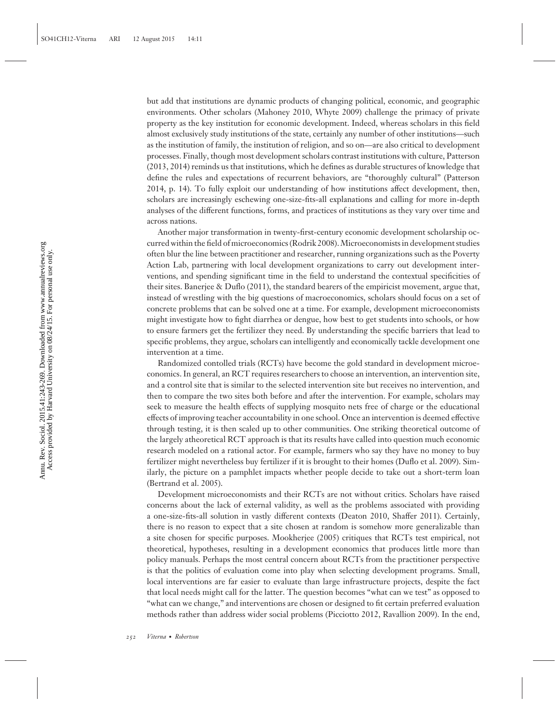but add that institutions are dynamic products of changing political, economic, and geographic environments. Other scholars (Mahoney 2010, Whyte 2009) challenge the primacy of private property as the key institution for economic development. Indeed, whereas scholars in this field almost exclusively study institutions of the state, certainly any number of other institutions—such as the institution of family, the institution of religion, and so on—are also critical to development processes. Finally, though most development scholars contrast institutions with culture, Patterson (2013, 2014) reminds us that institutions, which he defines as durable structures of knowledge that define the rules and expectations of recurrent behaviors, are "thoroughly cultural" (Patterson 2014, p. 14). To fully exploit our understanding of how institutions affect development, then, scholars are increasingly eschewing one-size-fits-all explanations and calling for more in-depth analyses of the different functions, forms, and practices of institutions as they vary over time and across nations.

Another major transformation in twenty-first-century economic development scholarship occurred within the field of microeconomics (Rodrik 2008). Microeconomists in development studies often blur the line between practitioner and researcher, running organizations such as the Poverty Action Lab, partnering with local development organizations to carry out development interventions, and spending significant time in the field to understand the contextual specificities of their sites. Banerjee & Duflo (2011), the standard bearers of the empiricist movement, argue that, instead of wrestling with the big questions of macroeconomics, scholars should focus on a set of concrete problems that can be solved one at a time. For example, development microeconomists might investigate how to fight diarrhea or dengue, how best to get students into schools, or how to ensure farmers get the fertilizer they need. By understanding the specific barriers that lead to specific problems, they argue, scholars can intelligently and economically tackle development one intervention at a time.

Randomized contolled trials (RCTs) have become the gold standard in development microeconomics. In general, an RCT requires researchers to choose an intervention, an intervention site, and a control site that is similar to the selected intervention site but receives no intervention, and then to compare the two sites both before and after the intervention. For example, scholars may seek to measure the health effects of supplying mosquito nets free of charge or the educational effects of improving teacher accountability in one school. Once an intervention is deemed effective through testing, it is then scaled up to other communities. One striking theoretical outcome of the largely atheoretical RCT approach is that its results have called into question much economic research modeled on a rational actor. For example, farmers who say they have no money to buy fertilizer might nevertheless buy fertilizer if it is brought to their homes (Duflo et al. 2009). Similarly, the picture on a pamphlet impacts whether people decide to take out a short-term loan (Bertrand et al. 2005).

Development microeconomists and their RCTs are not without critics. Scholars have raised concerns about the lack of external validity, as well as the problems associated with providing a one-size-fits-all solution in vastly different contexts (Deaton 2010, Shaffer 2011). Certainly, there is no reason to expect that a site chosen at random is somehow more generalizable than a site chosen for specific purposes. Mookherjee (2005) critiques that RCTs test empirical, not theoretical, hypotheses, resulting in a development economics that produces little more than policy manuals. Perhaps the most central concern about RCTs from the practitioner perspective is that the politics of evaluation come into play when selecting development programs. Small, local interventions are far easier to evaluate than large infrastructure projects, despite the fact that local needs might call for the latter. The question becomes "what can we test" as opposed to "what can we change," and interventions are chosen or designed to fit certain preferred evaluation methods rather than address wider social problems (Picciotto 2012, Ravallion 2009). In the end,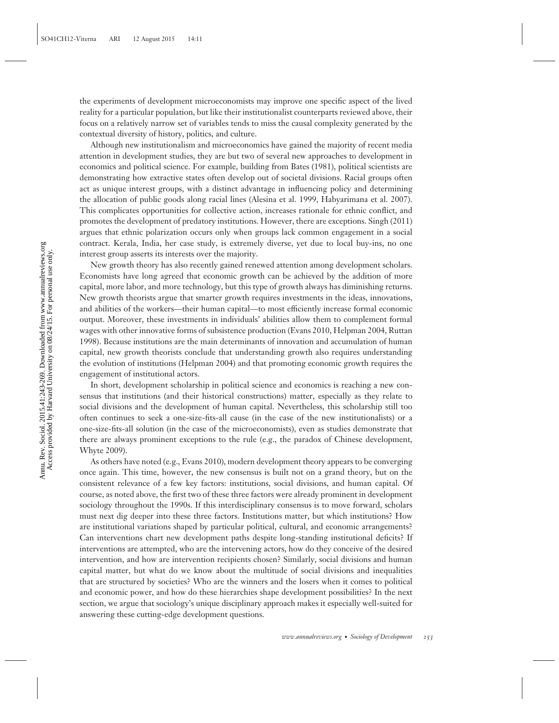the experiments of development microeconomists may improve one specific aspect of the lived reality for a particular population, but like their institutionalist counterparts reviewed above, their focus on a relatively narrow set of variables tends to miss the causal complexity generated by the contextual diversity of history, politics, and culture.

Although new institutionalism and microeconomics have gained the majority of recent media attention in development studies, they are but two of several new approaches to development in economics and political science. For example, building from Bates (1981), political scientists are demonstrating how extractive states often develop out of societal divisions. Racial groups often act as unique interest groups, with a distinct advantage in influencing policy and determining the allocation of public goods along racial lines (Alesina et al. 1999, Habyarimana et al. 2007). This complicates opportunities for collective action, increases rationale for ethnic conflict, and promotes the development of predatory institutions. However, there are exceptions. Singh (2011) argues that ethnic polarization occurs only when groups lack common engagement in a social contract. Kerala, India, her case study, is extremely diverse, yet due to local buy-ins, no one interest group asserts its interests over the majority.

New growth theory has also recently gained renewed attention among development scholars. Economists have long agreed that economic growth can be achieved by the addition of more capital, more labor, and more technology, but this type of growth always has diminishing returns. New growth theorists argue that smarter growth requires investments in the ideas, innovations, and abilities of the workers—their human capital—to most efficiently increase formal economic output. Moreover, these investments in individuals' abilities allow them to complement formal wages with other innovative forms of subsistence production (Evans 2010, Helpman 2004, Ruttan 1998). Because institutions are the main determinants of innovation and accumulation of human capital, new growth theorists conclude that understanding growth also requires understanding the evolution of institutions (Helpman 2004) and that promoting economic growth requires the engagement of institutional actors.

In short, development scholarship in political science and economics is reaching a new consensus that institutions (and their historical constructions) matter, especially as they relate to social divisions and the development of human capital. Nevertheless, this scholarship still too often continues to seek a one-size-fits-all cause (in the case of the new institutionalists) or a one-size-fits-all solution (in the case of the microeconomists), even as studies demonstrate that there are always prominent exceptions to the rule (e.g., the paradox of Chinese development, Whyte 2009).

As others have noted (e.g., Evans 2010), modern development theory appears to be converging once again. This time, however, the new consensus is built not on a grand theory, but on the consistent relevance of a few key factors: institutions, social divisions, and human capital. Of course, as noted above, the first two of these three factors were already prominent in development sociology throughout the 1990s. If this interdisciplinary consensus is to move forward, scholars must next dig deeper into these three factors. Institutions matter, but which institutions? How are institutional variations shaped by particular political, cultural, and economic arrangements? Can interventions chart new development paths despite long-standing institutional deficits? If interventions are attempted, who are the intervening actors, how do they conceive of the desired intervention, and how are intervention recipients chosen? Similarly, social divisions and human capital matter, but what do we know about the multitude of social divisions and inequalities that are structured by societies? Who are the winners and the losers when it comes to political and economic power, and how do these hierarchies shape development possibilities? In the next section, we argue that sociology's unique disciplinary approach makes it especially well-suited for answering these cutting-edge development questions.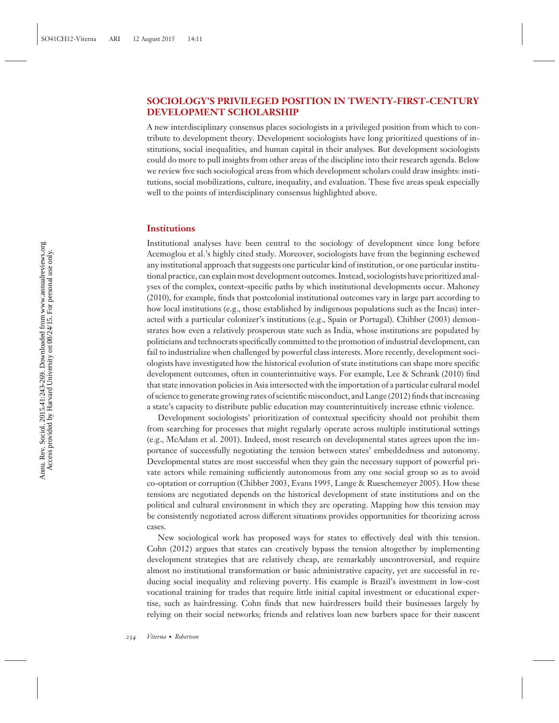#### **SOCIOLOGY'S PRIVILEGED POSITION IN TWENTY-FIRST-CENTURY DEVELOPMENT SCHOLARSHIP**

A new interdisciplinary consensus places sociologists in a privileged position from which to contribute to development theory. Development sociologists have long prioritized questions of institutions, social inequalities, and human capital in their analyses. But development sociologists could do more to pull insights from other areas of the discipline into their research agenda. Below we review five such sociological areas from which development scholars could draw insights: institutions, social mobilizations, culture, inequality, and evaluation. These five areas speak especially well to the points of interdisciplinary consensus highlighted above.

#### **Institutions**

Institutional analyses have been central to the sociology of development since long before Acemoglou et al.'s highly cited study. Moreover, sociologists have from the beginning eschewed any institutional approach that suggests one particular kind of institution, or one particular institutional practice, can explain most development outcomes. Instead, sociologists have prioritized analyses of the complex, context-specific paths by which institutional developments occur. Mahoney (2010), for example, finds that postcolonial institutional outcomes vary in large part according to how local institutions (e.g., those established by indigenous populations such as the Incas) interacted with a particular colonizer's institutions (e.g., Spain or Portugal). Chibber (2003) demonstrates how even a relatively prosperous state such as India, whose institutions are populated by politicians and technocrats specifically committed to the promotion of industrial development, can fail to industrialize when challenged by powerful class interests. More recently, development sociologists have investigated how the historical evolution of state institutions can shape more specific development outcomes, often in counterintuitive ways. For example, Lee & Schrank (2010) find that state innovation policies in Asia intersected with the importation of a particular cultural model of science to generate growing rates of scientific misconduct, and Lange (2012) finds that increasing a state's capacity to distribute public education may counterintuitively increase ethnic violence.

Development sociologists' prioritization of contextual specificity should not prohibit them from searching for processes that might regularly operate across multiple institutional settings (e.g., McAdam et al. 2001). Indeed, most research on developmental states agrees upon the importance of successfully negotiating the tension between states' embeddedness and autonomy. Developmental states are most successful when they gain the necessary support of powerful private actors while remaining sufficiently autonomous from any one social group so as to avoid co-optation or corruption (Chibber 2003, Evans 1995, Lange & Rueschemeyer 2005). How these tensions are negotiated depends on the historical development of state institutions and on the political and cultural environment in which they are operating. Mapping how this tension may be consistently negotiated across different situations provides opportunities for theorizing across cases.

New sociological work has proposed ways for states to effectively deal with this tension. Cohn (2012) argues that states can creatively bypass the tension altogether by implementing development strategies that are relatively cheap, are remarkably uncontroversial, and require almost no institutional transformation or basic administrative capacity, yet are successful in reducing social inequality and relieving poverty. His example is Brazil's investment in low-cost vocational training for trades that require little initial capital investment or educational expertise, such as hairdressing. Cohn finds that new hairdressers build their businesses largely by relying on their social networks; friends and relatives loan new barbers space for their nascent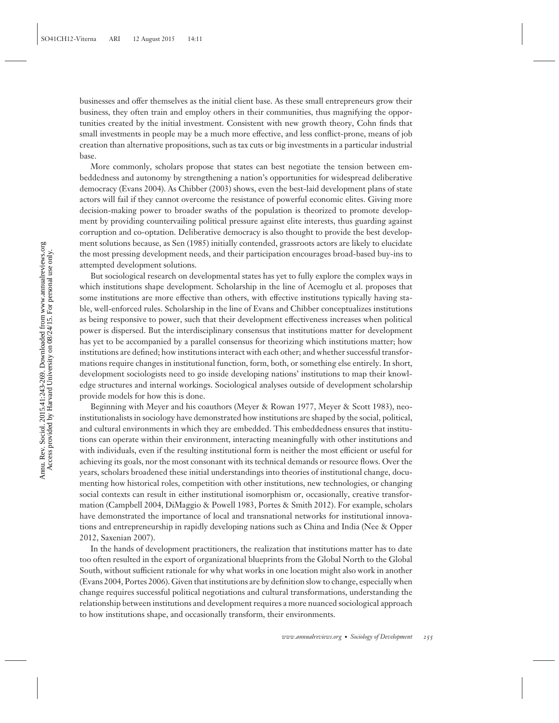businesses and offer themselves as the initial client base. As these small entrepreneurs grow their business, they often train and employ others in their communities, thus magnifying the opportunities created by the initial investment. Consistent with new growth theory, Cohn finds that small investments in people may be a much more effective, and less conflict-prone, means of job creation than alternative propositions, such as tax cuts or big investments in a particular industrial base.

More commonly, scholars propose that states can best negotiate the tension between embeddedness and autonomy by strengthening a nation's opportunities for widespread deliberative democracy (Evans 2004). As Chibber (2003) shows, even the best-laid development plans of state actors will fail if they cannot overcome the resistance of powerful economic elites. Giving more decision-making power to broader swaths of the population is theorized to promote development by providing countervailing political pressure against elite interests, thus guarding against corruption and co-optation. Deliberative democracy is also thought to provide the best development solutions because, as Sen (1985) initially contended, grassroots actors are likely to elucidate the most pressing development needs, and their participation encourages broad-based buy-ins to attempted development solutions.

But sociological research on developmental states has yet to fully explore the complex ways in which institutions shape development. Scholarship in the line of Acemoglu et al. proposes that some institutions are more effective than others, with effective institutions typically having stable, well-enforced rules. Scholarship in the line of Evans and Chibber conceptualizes institutions as being responsive to power, such that their development effectiveness increases when political power is dispersed. But the interdisciplinary consensus that institutions matter for development has yet to be accompanied by a parallel consensus for theorizing which institutions matter; how institutions are defined; how institutions interact with each other; and whether successful transformations require changes in institutional function, form, both, or something else entirely. In short, development sociologists need to go inside developing nations' institutions to map their knowledge structures and internal workings. Sociological analyses outside of development scholarship provide models for how this is done.

Beginning with Meyer and his coauthors (Meyer & Rowan 1977, Meyer & Scott 1983), neoinstitutionalists in sociology have demonstrated how institutions are shaped by the social, political, and cultural environments in which they are embedded. This embeddedness ensures that institutions can operate within their environment, interacting meaningfully with other institutions and with individuals, even if the resulting institutional form is neither the most efficient or useful for achieving its goals, nor the most consonant with its technical demands or resource flows. Over the years, scholars broadened these initial understandings into theories of institutional change, documenting how historical roles, competition with other institutions, new technologies, or changing social contexts can result in either institutional isomorphism or, occasionally, creative transformation (Campbell 2004, DiMaggio & Powell 1983, Portes & Smith 2012). For example, scholars have demonstrated the importance of local and transnational networks for institutional innovations and entrepreneurship in rapidly developing nations such as China and India (Nee & Opper 2012, Saxenian 2007).

In the hands of development practitioners, the realization that institutions matter has to date too often resulted in the export of organizational blueprints from the Global North to the Global South, without sufficient rationale for why what works in one location might also work in another (Evans 2004, Portes 2006). Given that institutions are by definition slow to change, especially when change requires successful political negotiations and cultural transformations, understanding the relationship between institutions and development requires a more nuanced sociological approach to how institutions shape, and occasionally transform, their environments.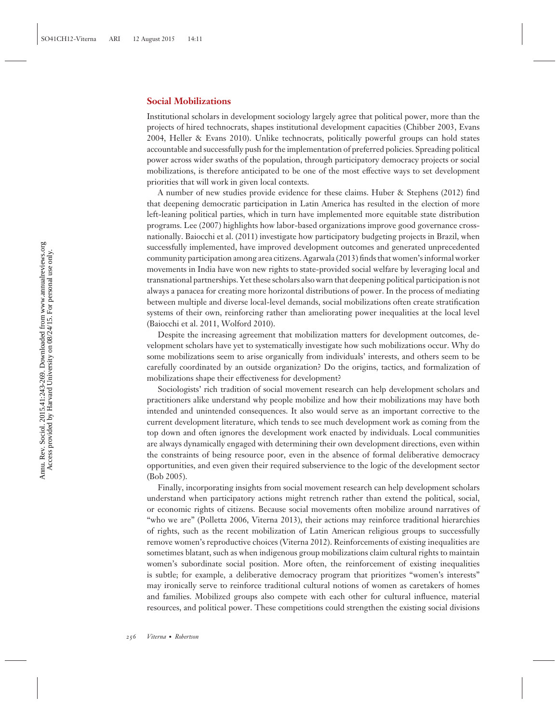#### **Social Mobilizations**

Institutional scholars in development sociology largely agree that political power, more than the projects of hired technocrats, shapes institutional development capacities (Chibber 2003, Evans 2004, Heller & Evans 2010). Unlike technocrats, politically powerful groups can hold states accountable and successfully push for the implementation of preferred policies. Spreading political power across wider swaths of the population, through participatory democracy projects or social mobilizations, is therefore anticipated to be one of the most effective ways to set development priorities that will work in given local contexts.

A number of new studies provide evidence for these claims. Huber & Stephens (2012) find that deepening democratic participation in Latin America has resulted in the election of more left-leaning political parties, which in turn have implemented more equitable state distribution programs. Lee (2007) highlights how labor-based organizations improve good governance crossnationally. Baiocchi et al. (2011) investigate how participatory budgeting projects in Brazil, when successfully implemented, have improved development outcomes and generated unprecedented community participation among area citizens. Agarwala (2013) finds that women's informal worker movements in India have won new rights to state-provided social welfare by leveraging local and transnational partnerships. Yet these scholars also warn that deepening political participation is not always a panacea for creating more horizontal distributions of power. In the process of mediating between multiple and diverse local-level demands, social mobilizations often create stratification systems of their own, reinforcing rather than ameliorating power inequalities at the local level (Baiocchi et al. 2011, Wolford 2010).

Despite the increasing agreement that mobilization matters for development outcomes, development scholars have yet to systematically investigate how such mobilizations occur. Why do some mobilizations seem to arise organically from individuals' interests, and others seem to be carefully coordinated by an outside organization? Do the origins, tactics, and formalization of mobilizations shape their effectiveness for development?

Sociologists' rich tradition of social movement research can help development scholars and practitioners alike understand why people mobilize and how their mobilizations may have both intended and unintended consequences. It also would serve as an important corrective to the current development literature, which tends to see much development work as coming from the top down and often ignores the development work enacted by individuals. Local communities are always dynamically engaged with determining their own development directions, even within the constraints of being resource poor, even in the absence of formal deliberative democracy opportunities, and even given their required subservience to the logic of the development sector (Bob 2005).

Finally, incorporating insights from social movement research can help development scholars understand when participatory actions might retrench rather than extend the political, social, or economic rights of citizens. Because social movements often mobilize around narratives of "who we are" (Polletta 2006, Viterna 2013), their actions may reinforce traditional hierarchies of rights, such as the recent mobilization of Latin American religious groups to successfully remove women's reproductive choices (Viterna 2012). Reinforcements of existing inequalities are sometimes blatant, such as when indigenous group mobilizations claim cultural rights to maintain women's subordinate social position. More often, the reinforcement of existing inequalities is subtle; for example, a deliberative democracy program that prioritizes "women's interests" may ironically serve to reinforce traditional cultural notions of women as caretakers of homes and families. Mobilized groups also compete with each other for cultural influence, material resources, and political power. These competitions could strengthen the existing social divisions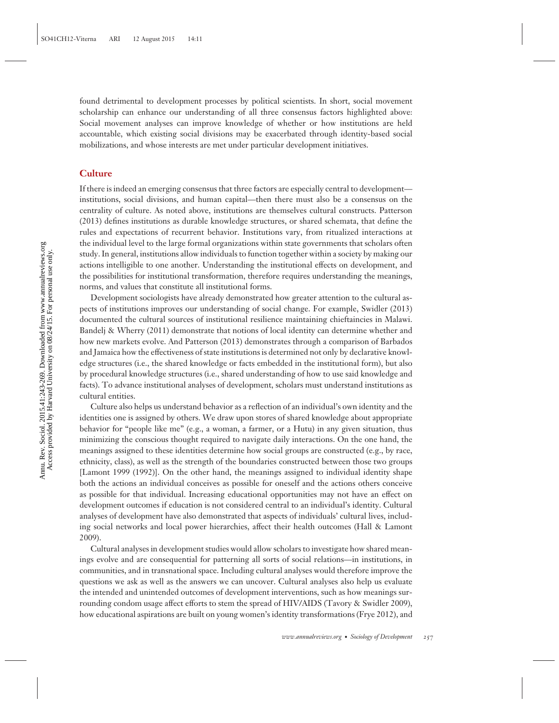found detrimental to development processes by political scientists. In short, social movement scholarship can enhance our understanding of all three consensus factors highlighted above: Social movement analyses can improve knowledge of whether or how institutions are held accountable, which existing social divisions may be exacerbated through identity-based social mobilizations, and whose interests are met under particular development initiatives.

#### **Culture**

If there is indeed an emerging consensus that three factors are especially central to development institutions, social divisions, and human capital—then there must also be a consensus on the centrality of culture. As noted above, institutions are themselves cultural constructs. Patterson (2013) defines institutions as durable knowledge structures, or shared schemata, that define the rules and expectations of recurrent behavior. Institutions vary, from ritualized interactions at the individual level to the large formal organizations within state governments that scholars often study. In general, institutions allow individuals to function together within a society by making our actions intelligible to one another. Understanding the institutional effects on development, and the possibilities for institutional transformation, therefore requires understanding the meanings, norms, and values that constitute all institutional forms.

Development sociologists have already demonstrated how greater attention to the cultural aspects of institutions improves our understanding of social change. For example, Swidler (2013) documented the cultural sources of institutional resilience maintaining chieftaincies in Malawi. Bandelj & Wherry (2011) demonstrate that notions of local identity can determine whether and how new markets evolve. And Patterson (2013) demonstrates through a comparison of Barbados and Jamaica how the effectiveness of state institutions is determined not only by declarative knowledge structures (i.e., the shared knowledge or facts embedded in the institutional form), but also by procedural knowledge structures (i.e., shared understanding of how to use said knowledge and facts). To advance institutional analyses of development, scholars must understand institutions as cultural entities.

Culture also helps us understand behavior as a reflection of an individual's own identity and the identities one is assigned by others. We draw upon stores of shared knowledge about appropriate behavior for "people like me" (e.g., a woman, a farmer, or a Hutu) in any given situation, thus minimizing the conscious thought required to navigate daily interactions. On the one hand, the meanings assigned to these identities determine how social groups are constructed (e.g., by race, ethnicity, class), as well as the strength of the boundaries constructed between those two groups [Lamont 1999 (1992)]. On the other hand, the meanings assigned to individual identity shape both the actions an individual conceives as possible for oneself and the actions others conceive as possible for that individual. Increasing educational opportunities may not have an effect on development outcomes if education is not considered central to an individual's identity. Cultural analyses of development have also demonstrated that aspects of individuals' cultural lives, including social networks and local power hierarchies, affect their health outcomes (Hall & Lamont 2009).

Cultural analyses in development studies would allow scholars to investigate how shared meanings evolve and are consequential for patterning all sorts of social relations—in institutions, in communities, and in transnational space. Including cultural analyses would therefore improve the questions we ask as well as the answers we can uncover. Cultural analyses also help us evaluate the intended and unintended outcomes of development interventions, such as how meanings surrounding condom usage affect efforts to stem the spread of HIV/AIDS (Tavory & Swidler 2009), how educational aspirations are built on young women's identity transformations (Frye 2012), and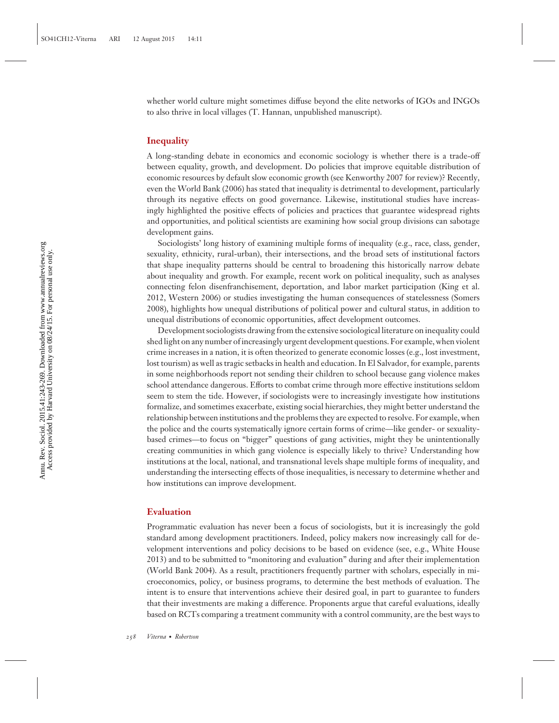whether world culture might sometimes diffuse beyond the elite networks of IGOs and INGOs to also thrive in local villages (T. Hannan, unpublished manuscript).

#### **Inequality**

A long-standing debate in economics and economic sociology is whether there is a trade-off between equality, growth, and development. Do policies that improve equitable distribution of economic resources by default slow economic growth (see Kenworthy 2007 for review)? Recently, even the World Bank (2006) has stated that inequality is detrimental to development, particularly through its negative effects on good governance. Likewise, institutional studies have increasingly highlighted the positive effects of policies and practices that guarantee widespread rights and opportunities, and political scientists are examining how social group divisions can sabotage development gains.

Sociologists' long history of examining multiple forms of inequality (e.g., race, class, gender, sexuality, ethnicity, rural-urban), their intersections, and the broad sets of institutional factors that shape inequality patterns should be central to broadening this historically narrow debate about inequality and growth. For example, recent work on political inequality, such as analyses connecting felon disenfranchisement, deportation, and labor market participation (King et al. 2012, Western 2006) or studies investigating the human consequences of statelessness (Somers 2008), highlights how unequal distributions of political power and cultural status, in addition to unequal distributions of economic opportunities, affect development outcomes.

Development sociologists drawing from the extensive sociological literature on inequality could shed light on any number of increasingly urgent development questions. For example, when violent crime increases in a nation, it is often theorized to generate economic losses (e.g., lost investment, lost tourism) as well as tragic setbacks in health and education. In El Salvador, for example, parents in some neighborhoods report not sending their children to school because gang violence makes school attendance dangerous. Efforts to combat crime through more effective institutions seldom seem to stem the tide. However, if sociologists were to increasingly investigate how institutions formalize, and sometimes exacerbate, existing social hierarchies, they might better understand the relationship between institutions and the problems they are expected to resolve. For example, when the police and the courts systematically ignore certain forms of crime—like gender- or sexualitybased crimes—to focus on "bigger" questions of gang activities, might they be unintentionally creating communities in which gang violence is especially likely to thrive? Understanding how institutions at the local, national, and transnational levels shape multiple forms of inequality, and understanding the intersecting effects of those inequalities, is necessary to determine whether and how institutions can improve development.

#### **Evaluation**

Programmatic evaluation has never been a focus of sociologists, but it is increasingly the gold standard among development practitioners. Indeed, policy makers now increasingly call for development interventions and policy decisions to be based on evidence (see, e.g., White House 2013) and to be submitted to "monitoring and evaluation" during and after their implementation (World Bank 2004). As a result, practitioners frequently partner with scholars, especially in microeconomics, policy, or business programs, to determine the best methods of evaluation. The intent is to ensure that interventions achieve their desired goal, in part to guarantee to funders that their investments are making a difference. Proponents argue that careful evaluations, ideally based on RCTs comparing a treatment community with a control community, are the best ways to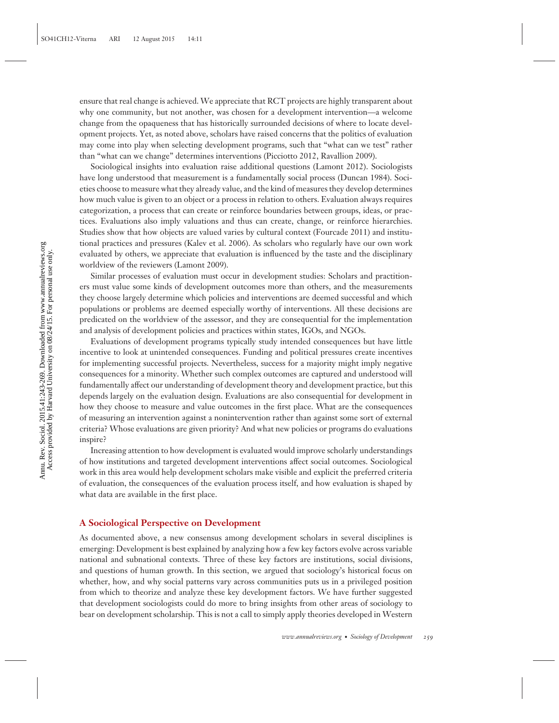ensure that real change is achieved. We appreciate that RCT projects are highly transparent about why one community, but not another, was chosen for a development intervention—a welcome change from the opaqueness that has historically surrounded decisions of where to locate development projects. Yet, as noted above, scholars have raised concerns that the politics of evaluation may come into play when selecting development programs, such that "what can we test" rather than "what can we change" determines interventions (Picciotto 2012, Ravallion 2009).

Sociological insights into evaluation raise additional questions (Lamont 2012). Sociologists have long understood that measurement is a fundamentally social process (Duncan 1984). Societies choose to measure what they already value, and the kind of measures they develop determines how much value is given to an object or a process in relation to others. Evaluation always requires categorization, a process that can create or reinforce boundaries between groups, ideas, or practices. Evaluations also imply valuations and thus can create, change, or reinforce hierarchies. Studies show that how objects are valued varies by cultural context (Fourcade 2011) and institutional practices and pressures (Kalev et al. 2006). As scholars who regularly have our own work evaluated by others, we appreciate that evaluation is influenced by the taste and the disciplinary worldview of the reviewers (Lamont 2009).

Similar processes of evaluation must occur in development studies: Scholars and practitioners must value some kinds of development outcomes more than others, and the measurements they choose largely determine which policies and interventions are deemed successful and which populations or problems are deemed especially worthy of interventions. All these decisions are predicated on the worldview of the assessor, and they are consequential for the implementation and analysis of development policies and practices within states, IGOs, and NGOs.

Evaluations of development programs typically study intended consequences but have little incentive to look at unintended consequences. Funding and political pressures create incentives for implementing successful projects. Nevertheless, success for a majority might imply negative consequences for a minority. Whether such complex outcomes are captured and understood will fundamentally affect our understanding of development theory and development practice, but this depends largely on the evaluation design. Evaluations are also consequential for development in how they choose to measure and value outcomes in the first place. What are the consequences of measuring an intervention against a nonintervention rather than against some sort of external criteria? Whose evaluations are given priority? And what new policies or programs do evaluations inspire?

Increasing attention to how development is evaluated would improve scholarly understandings of how institutions and targeted development interventions affect social outcomes. Sociological work in this area would help development scholars make visible and explicit the preferred criteria of evaluation, the consequences of the evaluation process itself, and how evaluation is shaped by what data are available in the first place.

#### **A Sociological Perspective on Development**

As documented above, a new consensus among development scholars in several disciplines is emerging: Development is best explained by analyzing how a few key factors evolve across variable national and subnational contexts. Three of these key factors are institutions, social divisions, and questions of human growth. In this section, we argued that sociology's historical focus on whether, how, and why social patterns vary across communities puts us in a privileged position from which to theorize and analyze these key development factors. We have further suggested that development sociologists could do more to bring insights from other areas of sociology to bear on development scholarship. This is not a call to simply apply theories developed in Western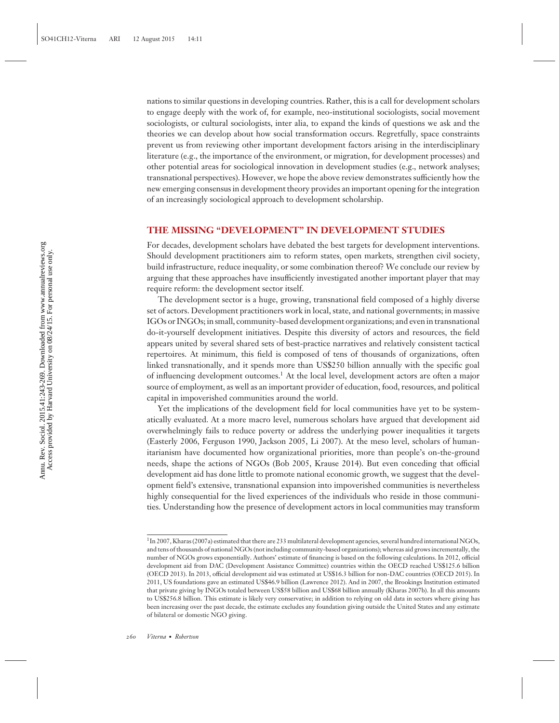nations to similar questions in developing countries. Rather, this is a call for development scholars to engage deeply with the work of, for example, neo-institutional sociologists, social movement sociologists, or cultural sociologists, inter alia, to expand the kinds of questions we ask and the theories we can develop about how social transformation occurs. Regretfully, space constraints prevent us from reviewing other important development factors arising in the interdisciplinary literature (e.g., the importance of the environment, or migration, for development processes) and other potential areas for sociological innovation in development studies (e.g., network analyses; transnational perspectives). However, we hope the above review demonstrates sufficiently how the new emerging consensus in development theory provides an important opening for the integration of an increasingly sociological approach to development scholarship.

#### **THE MISSING "DEVELOPMENT" IN DEVELOPMENT STUDIES**

For decades, development scholars have debated the best targets for development interventions. Should development practitioners aim to reform states, open markets, strengthen civil society, build infrastructure, reduce inequality, or some combination thereof? We conclude our review by arguing that these approaches have insufficiently investigated another important player that may require reform: the development sector itself.

The development sector is a huge, growing, transnational field composed of a highly diverse set of actors. Development practitioners work in local, state, and national governments; in massive IGOs or INGOs; in small, community-based development organizations; and even in transnational do-it-yourself development initiatives. Despite this diversity of actors and resources, the field appears united by several shared sets of best-practice narratives and relatively consistent tactical repertoires. At minimum, this field is composed of tens of thousands of organizations, often linked transnationally, and it spends more than US\$250 billion annually with the specific goal of influencing development outcomes.1 At the local level, development actors are often a major source of employment, as well as an important provider of education, food, resources, and political capital in impoverished communities around the world.

Yet the implications of the development field for local communities have yet to be systematically evaluated. At a more macro level, numerous scholars have argued that development aid overwhelmingly fails to reduce poverty or address the underlying power inequalities it targets (Easterly 2006, Ferguson 1990, Jackson 2005, Li 2007). At the meso level, scholars of humanitarianism have documented how organizational priorities, more than people's on-the-ground needs, shape the actions of NGOs (Bob 2005, Krause 2014). But even conceding that official development aid has done little to promote national economic growth, we suggest that the development field's extensive, transnational expansion into impoverished communities is nevertheless highly consequential for the lived experiences of the individuals who reside in those communities. Understanding how the presence of development actors in local communities may transform

<sup>1</sup>In 2007, Kharas (2007a) estimated that there are 233 multilateral development agencies, several hundred international NGOs, and tens of thousands of national NGOs (not including community-based organizations); whereas aid grows incrementally, the number of NGOs grows exponentially. Authors' estimate of financing is based on the following calculations. In 2012, official development aid from DAC (Development Assistance Committee) countries within the OECD reached US\$125.6 billion (OECD 2013). In 2013, official development aid was estimated at US\$16.3 billion for non-DAC countries (OECD 2015). In 2011, US foundations gave an estimated US\$46.9 billion (Lawrence 2012). And in 2007, the Brookings Institution estimated that private giving by INGOs totaled between US\$58 billion and US\$68 billion annually (Kharas 2007b). In all this amounts to US\$256.8 billion. This estimate is likely very conservative; in addition to relying on old data in sectors where giving has been increasing over the past decade, the estimate excludes any foundation giving outside the United States and any estimate of bilateral or domestic NGO giving.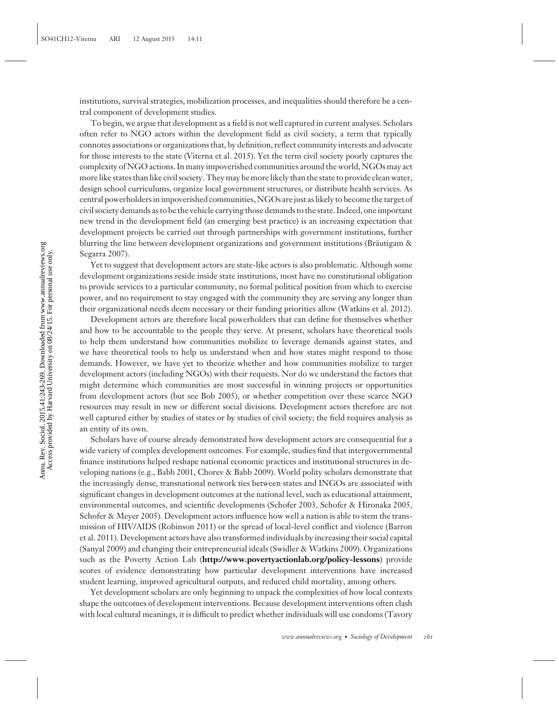institutions, survival strategies, mobilization processes, and inequalities should therefore be a central component of development studies.

To begin, we argue that development as a field is not well captured in current analyses. Scholars often refer to NGO actors within the development field as civil society, a term that typically connotes associations or organizations that, by definition, reflect community interests and advocate for those interests to the state (Viterna et al. 2015). Yet the term civil society poorly captures the complexity of NGO actions. In many impoverished communities around the world, NGOs may act more like states than like civil society. They may be more likely than the state to provide clean water, design school curriculums, organize local government structures, or distribute health services. As central powerholders in impoverished communities, NGOs are just as likely to become the target of civil society demands as to be the vehicle carrying those demands to the state. Indeed, one important new trend in the development field (an emerging best practice) is an increasing expectation that development projects be carried out through partnerships with government institutions, further blurring the line between development organizations and government institutions (Bräutigam & Segarra 2007).

Yet to suggest that development actors are state-like actors is also problematic. Although some development organizations reside inside state institutions, most have no constitutional obligation to provide services to a particular community, no formal political position from which to exercise power, and no requirement to stay engaged with the community they are serving any longer than their organizational needs deem necessary or their funding priorities allow (Watkins et al. 2012).

Development actors are therefore local powerholders that can define for themselves whether and how to be accountable to the people they serve. At present, scholars have theoretical tools to help them understand how communities mobilize to leverage demands against states, and we have theoretical tools to help us understand when and how states might respond to those demands. However, we have yet to theorize whether and how communities mobilize to target development actors (including NGOs) with their requests. Nor do we understand the factors that might determine which communities are most successful in winning projects or opportunities from development actors (but see Bob 2005), or whether competition over these scarce NGO resources may result in new or different social divisions. Development actors therefore are not well captured either by studies of states or by studies of civil society; the field requires analysis as an entity of its own.

Scholars have of course already demonstrated how development actors are consequential for a wide variety of complex development outcomes. For example, studies find that intergovernmental finance institutions helped reshape national economic practices and institutional structures in developing nations (e.g., Babb 2001, Chorev & Babb 2009). World polity scholars demonstrate that the increasingly dense, transnational network ties between states and INGOs are associated with significant changes in development outcomes at the national level, such as educational attainment, environmental outcomes, and scientific developments (Schofer 2003, Schofer & Hironaka 2005, Schofer & Meyer 2005). Development actors influence how well a nation is able to stem the transmission of HIV/AIDS (Robinson 2011) or the spread of local-level conflict and violence (Barron et al. 2011). Development actors have also transformed individuals by increasing their social capital (Sanyal 2009) and changing their entrepreneurial ideals (Swidler & Watkins 2009). Organizations such as the Poverty Action Lab (**<http://www.povertyactionlab.org/policy-lessons>**) provide scores of evidence demonstrating how particular development interventions have increased student learning, improved agricultural outputs, and reduced child mortality, among others.

Yet development scholars are only beginning to unpack the complexities of how local contexts shape the outcomes of development interventions. Because development interventions often clash with local cultural meanings, it is difficult to predict whether individuals will use condoms (Tavory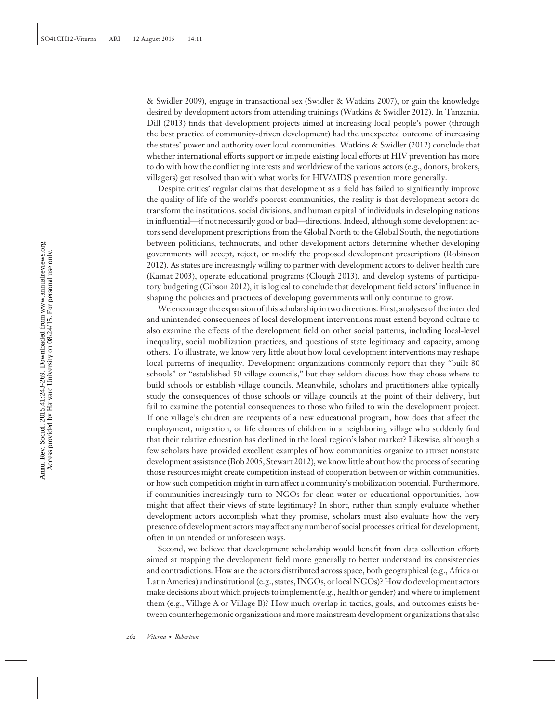& Swidler 2009), engage in transactional sex (Swidler & Watkins 2007), or gain the knowledge desired by development actors from attending trainings (Watkins & Swidler 2012). In Tanzania, Dill (2013) finds that development projects aimed at increasing local people's power (through the best practice of community-driven development) had the unexpected outcome of increasing the states' power and authority over local communities. Watkins & Swidler (2012) conclude that whether international efforts support or impede existing local efforts at HIV prevention has more to do with how the conflicting interests and worldview of the various actors (e.g., donors, brokers, villagers) get resolved than with what works for HIV/AIDS prevention more generally.

Despite critics' regular claims that development as a field has failed to significantly improve the quality of life of the world's poorest communities, the reality is that development actors do transform the institutions, social divisions, and human capital of individuals in developing nations in influential—if not necessarily good or bad—directions. Indeed, although some development actors send development prescriptions from the Global North to the Global South, the negotiations between politicians, technocrats, and other development actors determine whether developing governments will accept, reject, or modify the proposed development prescriptions (Robinson 2012). As states are increasingly willing to partner with development actors to deliver health care (Kamat 2003), operate educational programs (Clough 2013), and develop systems of participatory budgeting (Gibson 2012), it is logical to conclude that development field actors' influence in shaping the policies and practices of developing governments will only continue to grow.

We encourage the expansion of this scholarship in two directions. First, analyses of the intended and unintended consequences of local development interventions must extend beyond culture to also examine the effects of the development field on other social patterns, including local-level inequality, social mobilization practices, and questions of state legitimacy and capacity, among others. To illustrate, we know very little about how local development interventions may reshape local patterns of inequality. Development organizations commonly report that they "built 80 schools" or "established 50 village councils," but they seldom discuss how they chose where to build schools or establish village councils. Meanwhile, scholars and practitioners alike typically study the consequences of those schools or village councils at the point of their delivery, but fail to examine the potential consequences to those who failed to win the development project. If one village's children are recipients of a new educational program, how does that affect the employment, migration, or life chances of children in a neighboring village who suddenly find that their relative education has declined in the local region's labor market? Likewise, although a few scholars have provided excellent examples of how communities organize to attract nonstate development assistance (Bob 2005, Stewart 2012), we know little about how the process of securing those resources might create competition instead of cooperation between or within communities, or how such competition might in turn affect a community's mobilization potential. Furthermore, if communities increasingly turn to NGOs for clean water or educational opportunities, how might that affect their views of state legitimacy? In short, rather than simply evaluate whether development actors accomplish what they promise, scholars must also evaluate how the very presence of development actors may affect any number of social processes critical for development, often in unintended or unforeseen ways.

Second, we believe that development scholarship would benefit from data collection efforts aimed at mapping the development field more generally to better understand its consistencies and contradictions. How are the actors distributed across space, both geographical (e.g., Africa or Latin America) and institutional (e.g., states, INGOs, or local NGOs)? How do development actors make decisions about which projects to implement (e.g., health or gender) and where to implement them (e.g., Village A or Village B)? How much overlap in tactics, goals, and outcomes exists between counterhegemonic organizations and more mainstream development organizations that also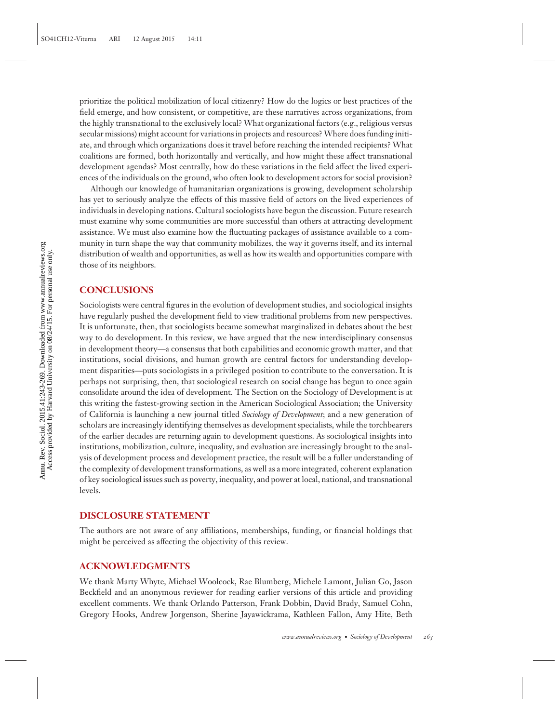prioritize the political mobilization of local citizenry? How do the logics or best practices of the field emerge, and how consistent, or competitive, are these narratives across organizations, from the highly transnational to the exclusively local? What organizational factors (e.g., religious versus secular missions) might account for variations in projects and resources?Where does funding initiate, and through which organizations does it travel before reaching the intended recipients? What coalitions are formed, both horizontally and vertically, and how might these affect transnational development agendas? Most centrally, how do these variations in the field affect the lived experiences of the individuals on the ground, who often look to development actors for social provision?

Although our knowledge of humanitarian organizations is growing, development scholarship has yet to seriously analyze the effects of this massive field of actors on the lived experiences of individuals in developing nations. Cultural sociologists have begun the discussion. Future research must examine why some communities are more successful than others at attracting development assistance. We must also examine how the fluctuating packages of assistance available to a community in turn shape the way that community mobilizes, the way it governs itself, and its internal distribution of wealth and opportunities, as well as how its wealth and opportunities compare with those of its neighbors.

#### **CONCLUSIONS**

Sociologists were central figures in the evolution of development studies, and sociological insights have regularly pushed the development field to view traditional problems from new perspectives. It is unfortunate, then, that sociologists became somewhat marginalized in debates about the best way to do development. In this review, we have argued that the new interdisciplinary consensus in development theory—a consensus that both capabilities and economic growth matter, and that institutions, social divisions, and human growth are central factors for understanding development disparities—puts sociologists in a privileged position to contribute to the conversation. It is perhaps not surprising, then, that sociological research on social change has begun to once again consolidate around the idea of development. The Section on the Sociology of Development is at this writing the fastest-growing section in the American Sociological Association; the University of California is launching a new journal titled *Sociology of Development*; and a new generation of scholars are increasingly identifying themselves as development specialists, while the torchbearers of the earlier decades are returning again to development questions. As sociological insights into institutions, mobilization, culture, inequality, and evaluation are increasingly brought to the analysis of development process and development practice, the result will be a fuller understanding of the complexity of development transformations, as well as a more integrated, coherent explanation of key sociological issues such as poverty, inequality, and power at local, national, and transnational levels.

#### **DISCLOSURE STATEMENT**

The authors are not aware of any affiliations, memberships, funding, or financial holdings that might be perceived as affecting the objectivity of this review.

#### **ACKNOWLEDGMENTS**

We thank Marty Whyte, Michael Woolcock, Rae Blumberg, Michele Lamont, Julian Go, Jason Beckfield and an anonymous reviewer for reading earlier versions of this article and providing excellent comments. We thank Orlando Patterson, Frank Dobbin, David Brady, Samuel Cohn, Gregory Hooks, Andrew Jorgenson, Sherine Jayawickrama, Kathleen Fallon, Amy Hite, Beth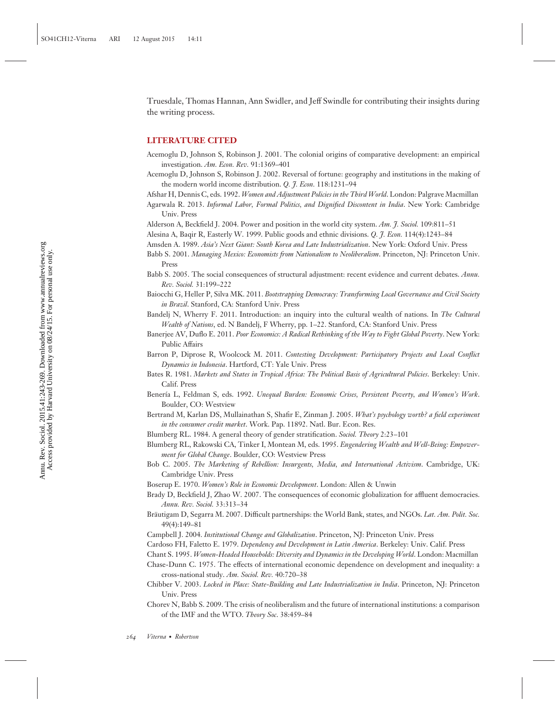Truesdale, Thomas Hannan, Ann Swidler, and Jeff Swindle for contributing their insights during the writing process.

#### **LITERATURE CITED**

- Acemoglu D, Johnson S, Robinson J. 2001. The colonial origins of comparative development: an empirical investigation. *Am. Econ. Rev.* 91:1369–401
- Acemoglu D, Johnson S, Robinson J. 2002. Reversal of fortune: geography and institutions in the making of the modern world income distribution. *Q. J. Econ.* 118:1231–94
- Afshar H, Dennis C, eds. 1992. *Women and Adjustment Policies in the Third World*. London: Palgrave Macmillan
- Agarwala R. 2013. *Informal Labor, Formal Politics, and Dignified Discontent in India*. New York: Cambridge Univ. Press

Alderson A, Beckfield J. 2004. Power and position in the world city system. *Am. J. Sociol.* 109:811–51

- Alesina A, Baqir R, Easterly W. 1999. Public goods and ethnic divisions. *Q. J. Econ.* 114(4):1243–84
- Amsden A. 1989. *Asia's Next Giant: South Korea and Late Industrialization*. New York: Oxford Univ. Press
- Babb S. 2001. *Managing Mexico: Economists from Nationalism to Neoliberalism*. Princeton, NJ: Princeton Univ. Press
- Babb S. 2005. The social consequences of structural adjustment: recent evidence and current debates. *Annu. Rev. Sociol.* 31:199–222
- Baiocchi G, Heller P, Silva MK. 2011. *Bootstrapping Democracy: Transforming Local Governance and Civil Society in Brazil*. Stanford, CA: Stanford Univ. Press
- Bandelj N, Wherry F. 2011. Introduction: an inquiry into the cultural wealth of nations. In *The Cultural Wealth of Nations*, ed. N Bandelj, F Wherry, pp. 1–22. Stanford, CA: Stanford Univ. Press
- Banerjee AV, Duflo E. 2011. *Poor Economics: A Radical Rethinking of the Way to Fight Global Poverty*. New York: Public Affairs
- Barron P, Diprose R, Woolcock M. 2011. *Contesting Development: Participatory Projects and Local Conflict Dynamics in Indonesia*. Hartford, CT: Yale Univ. Press
- Bates R. 1981. *Markets and States in Tropical Africa: The Political Basis of Agricultural Policies*. Berkeley: Univ. Calif. Press
- Benería L, Feldman S, eds. 1992. *Unequal Burden: Economic Crises, Persistent Poverty, and Women's Work*. Boulder, CO: Westview
- Bertrand M, Karlan DS, Mullainathan S, Shafir E, Zinman J. 2005. *What's psychology worth? a field experiment in the consumer credit market*. Work. Pap. 11892. Natl. Bur. Econ. Res.
- Blumberg RL. 1984. A general theory of gender stratification. *Sociol. Theory* 2:23–101
- Blumberg RL, Rakowski CA, Tinker I, Montean M, eds. 1995. *Engendering Wealth and Well-Being: Empowerment for Global Change*. Boulder, CO: Westview Press
- Bob C. 2005. *The Marketing of Rebellion: Insurgents, Media, and International Activism*. Cambridge, UK: Cambridge Univ. Press
- Boserup E. 1970. *Women's Role in Economic Development*. London: Allen & Unwin
- Brady D, Beckfield J, Zhao W. 2007. The consequences of economic globalization for affluent democracies. *Annu. Rev. Sociol.* 33:313–34
- Bräutigam D, Segarra M. 2007. Difficult partnerships: the World Bank, states, and NGOs. Lat. Am. Polit. Soc. 49(4):149–81
- Campbell J. 2004. *Institutional Change and Globalization*. Princeton, NJ: Princeton Univ. Press

Cardoso FH, Faletto E. 1979. *Dependency and Development in Latin America*. Berkeley: Univ. Calif. Press

- Chant S. 1995. *Women-Headed Households: Diversity and Dynamics in the Developing World*. London: Macmillan
- Chase-Dunn C. 1975. The effects of international economic dependence on development and inequality: a cross-national study. *Am. Sociol. Rev.* 40:720–38
- Chibber V. 2003. *Locked in Place: State-Building and Late Industrialization in India*. Princeton, NJ: Princeton Univ. Press
- Chorev N, Babb S. 2009. The crisis of neoliberalism and the future of international institutions: a comparison of the IMF and the WTO. *Theory Soc*. 38:459–84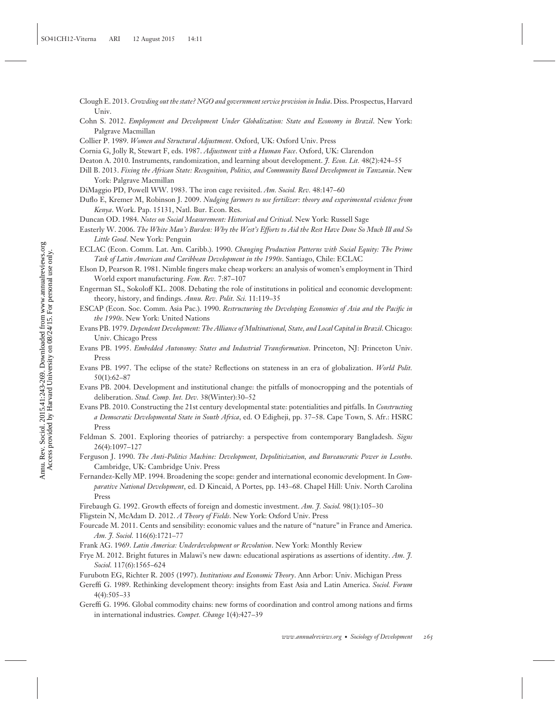- Clough E. 2013. *Crowding out the state? NGO and government service provision in India*. Diss. Prospectus, Harvard Univ.
- Cohn S. 2012. *Employment and Development Under Globalization: State and Economy in Brazil*. New York: Palgrave Macmillan
- Collier P. 1989. *Women and Structural Adjustment*. Oxford, UK: Oxford Univ. Press

Deaton A. 2010. Instruments, randomization, and learning about development. *J. Econ. Lit.* 48(2):424–55

- Duflo E, Kremer M, Robinson J. 2009. *Nudging farmers to use fertilizer: theory and experimental evidence from Kenya*. Work. Pap. 15131, Natl. Bur. Econ. Res.
- Duncan OD. 1984. *Notes on Social Measurement: Historical and Critical*. New York: Russell Sage
- Easterly W. 2006. *The White Man's Burden: Why the West's Efforts to Aid the Rest Have Done So Much Ill and So Little Good*. New York: Penguin
- ECLAC (Econ. Comm. Lat. Am. Caribb.). 1990. *Changing Production Patterns with Social Equity: The Prime Task of Latin American and Caribbean Development in the 1990s*. Santiago, Chile: ECLAC

Elson D, Pearson R. 1981. Nimble fingers make cheap workers: an analysis of women's employment in Third World export manufacturing. *Fem. Rev.* 7:87–107

Engerman SL, Sokoloff KL. 2008. Debating the role of institutions in political and economic development: theory, history, and findings. *Annu. Rev. Polit. Sci.* 11:119–35

- ESCAP (Econ. Soc. Comm. Asia Pac.). 1990. *Restructuring the Developing Economies of Asia and the Pacific in the 1990s*. New York: United Nations
- Evans PB. 1979. *Dependent Development: The Alliance of Multinational, State, and Local Capital in Brazil*. Chicago: Univ. Chicago Press
- Evans PB. 1995. *Embedded Autonomy: States and Industrial Transformation*. Princeton, NJ: Princeton Univ. Press
- Evans PB. 1997. The eclipse of the state? Reflections on stateness in an era of globalization. *World Polit.* 50(1):62–87
- Evans PB. 2004. Development and institutional change: the pitfalls of monocropping and the potentials of deliberation. *Stud. Comp. Int. Dev.* 38(Winter):30–52
- Evans PB. 2010. Constructing the 21st century developmental state: potentialities and pitfalls. In *Constructing a Democratic Developmental State in South Africa*, ed. O Edigheji, pp. 37–58. Cape Town, S. Afr.: HSRC Press
- Feldman S. 2001. Exploring theories of patriarchy: a perspective from contemporary Bangladesh. *Signs* 26(4):1097–127
- Ferguson J. 1990. *The Anti-Politics Machine: Development, Depoliticization, and Bureaucratic Power in Lesotho*. Cambridge, UK: Cambridge Univ. Press
- Fernandez-Kelly MP. 1994. Broadening the scope: gender and international economic development. In *Comparative National Development*, ed. D Kincaid, A Portes, pp. 143–68. Chapel Hill: Univ. North Carolina Press
- Firebaugh G. 1992. Growth effects of foreign and domestic investment. *Am. J. Sociol.* 98(1):105–30
- Fligstein N, McAdam D. 2012. *A Theory of Fields*. New York: Oxford Univ. Press
- Fourcade M. 2011. Cents and sensibility: economic values and the nature of "nature" in France and America. *Am. J. Sociol.* 116(6):1721–77
- Frank AG. 1969. *Latin America: Underdevelopment or Revolution*. New York: Monthly Review
- Frye M. 2012. Bright futures in Malawi's new dawn: educational aspirations as assertions of identity. *Am. J. Sociol.* 117(6):1565–624
- Furubotn EG, Richter R. 2005 (1997). *Institutions and Economic Theory*. Ann Arbor: Univ. Michigan Press
- Gereffi G. 1989. Rethinking development theory: insights from East Asia and Latin America. *Sociol. Forum* 4(4):505–33
- Gereffi G. 1996. Global commodity chains: new forms of coordination and control among nations and firms in international industries. *Compet. Change* 1(4):427–39

Cornia G, Jolly R, Stewart F, eds. 1987. *Adjustment with a Human Face*. Oxford, UK: Clarendon

Dill B. 2013. *Fixing the African State: Recognition, Politics, and Community Based Development in Tanzania*. New York: Palgrave Macmillan

DiMaggio PD, Powell WW. 1983. The iron cage revisited. *Am. Sociol. Rev.* 48:147–60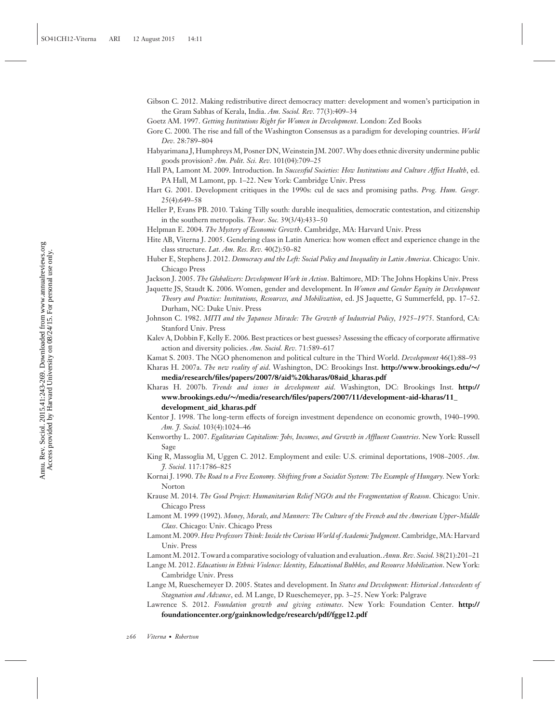- Gibson C. 2012. Making redistributive direct democracy matter: development and women's participation in the Gram Sabhas of Kerala, India. *Am. Sociol. Rev.* 77(3):409–34
- Goetz AM. 1997. *Getting Institutions Right for Women in Development*. London: Zed Books
- Gore C. 2000. The rise and fall of the Washington Consensus as a paradigm for developing countries. *World Dev.* 28:789–804
- Habyarimana J, Humphreys M, Posner DN, Weinstein JM. 2007. Why does ethnic diversity undermine public goods provision? *Am. Polit. Sci. Rev.* 101(04):709–25
- Hall PA, Lamont M. 2009. Introduction. In *Successful Societies: How Institutions and Culture Affect Health*, ed. PA Hall, M Lamont, pp. 1–22. New York: Cambridge Univ. Press
- Hart G. 2001. Development critiques in the 1990s: cul de sacs and promising paths. *Prog. Hum. Geogr.* 25(4):649–58
- Heller P, Evans PB. 2010. Taking Tilly south: durable inequalities, democratic contestation, and citizenship in the southern metropolis. *Theor. Soc.* 39(3/4):433–50
- Helpman E. 2004. *The Mystery of Economic Growth*. Cambridge, MA: Harvard Univ. Press
- Hite AB, Viterna J. 2005. Gendering class in Latin America: how women effect and experience change in the class structure. *Lat. Am. Res. Rev.* 40(2):50–82
- Huber E, Stephens J. 2012. *Democracy and the Left: Social Policy and Inequality in Latin America*. Chicago: Univ. Chicago Press
- Jackson J. 2005. *The Globalizers: Development Work in Action*. Baltimore, MD: The Johns Hopkins Univ. Press
- Jaquette JS, Staudt K. 2006. Women, gender and development. In *Women and Gender Equity in Development Theory and Practice: Institutions, Resources, and Mobilization*, ed. JS Jaquette, G Summerfeld, pp. 17–52. Durham, NC: Duke Univ. Press
- Johnson C. 1982. *MITI and the Japanese Miracle: The Growth of Industrial Policy, 1925–1975*. Stanford, CA: Stanford Univ. Press
- Kalev A, Dobbin F, Kelly E. 2006. Best practices or best guesses? Assessing the efficacy of corporate affirmative action and diversity policies. *Am. Sociol. Rev.* 71:589–617
- Kamat S. 2003. The NGO phenomenon and political culture in the Third World. *Development* 46(1):88–93
- Kharas H. 2007a. *The new reality of aid*. Washington, DC: Brookings Inst. **[http://www.brookings.edu/](http://www.brookings.edu/~/media/research/files/papers/2007/8/aid%20kharas/08aid_kharas.pdf)∼/ [media/research/files/papers/2007/8/aid%20kharas/08aid\\_kharas.pdf](http://www.brookings.edu/~/media/research/files/papers/2007/8/aid%20kharas/08aid_kharas.pdf)**
- Kharas H. 2007b. *Trends and issues in development aid*. Washington, DC: Brookings Inst. **[http://](http://www.brookings.edu/~/media/research/files/papers/2007/11/development-aid-kharas/11_development_aid_kharas.pdf) www.brookings.edu/∼[/media/research/files/papers/2007/11/development-aid-kharas/11\\_](http://www.brookings.edu/~/media/research/files/papers/2007/11/development-aid-kharas/11_development_aid_kharas.pdf) [development\\_aid\\_kharas.pdf](http://www.brookings.edu/~/media/research/files/papers/2007/11/development-aid-kharas/11_development_aid_kharas.pdf)**
- Kentor J. 1998. The long-term effects of foreign investment dependence on economic growth, 1940–1990. *Am. J. Sociol.* 103(4):1024–46
- Kenworthy L. 2007. *Egalitarian Capitalism: Jobs, Incomes, and Growth in Affluent Countries*. New York: Russell Sage
- King R, Massoglia M, Uggen C. 2012. Employment and exile: U.S. criminal deportations, 1908–2005. *Am. J. Sociol.* 117:1786–825
- Kornai J. 1990. *The Road to a Free Economy. Shifting from a Socialist System: The Example of Hungary.* New York: Norton
- Krause M. 2014. *The Good Project: Humanitarian Relief NGOs and the Fragmentation of Reason*. Chicago: Univ. Chicago Press
- Lamont M. 1999 (1992). *Money, Morals, and Manners: The Culture of the French and the American Upper-Middle Class*. Chicago: Univ. Chicago Press
- LamontM. 2009. *How Professors Think: Inside the Curious World of Academic Judgment*. Cambridge,MA: Harvard Univ. Press
- LamontM. 2012. Toward a comparative sociology of valuation and evaluation.*Annu. Rev. Sociol.* 38(21):201–21
- Lange M. 2012. *Educations in Ethnic Violence: Identity, Educational Bubbles, and Resource Mobilization*. New York: Cambridge Univ. Press
- Lange M, Rueschemeyer D. 2005. States and development. In *States and Development: Historical Antecedents of Stagnation and Advance*, ed. M Lange, D Rueschemeyer, pp. 3–25. New York: Palgrave
- Lawrence S. 2012. *Foundation growth and giving estimates*. New York: Foundation Center. **[http://](http://foundationcenter.org/gainknowledge/research/pdf/fgge12.pdf) [foundationcenter.org/gainknowledge/research/pdf/fgge12.pdf](http://foundationcenter.org/gainknowledge/research/pdf/fgge12.pdf)**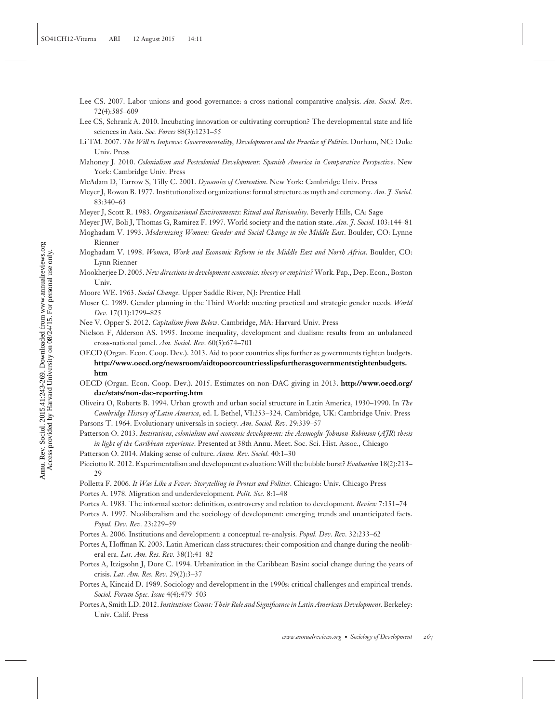- Lee CS. 2007. Labor unions and good governance: a cross-national comparative analysis. *Am. Sociol. Rev.* 72(4):585–609
- Lee CS, Schrank A. 2010. Incubating innovation or cultivating corruption? The developmental state and life sciences in Asia. *Soc. Forces* 88(3):1231–55
- Li TM. 2007. *The Will to Improve: Governmentality, Development and the Practice of Politics*. Durham, NC: Duke Univ. Press
- Mahoney J. 2010. *Colonialism and Postcolonial Development: Spanish America in Comparative Perspective*. New York: Cambridge Univ. Press
- McAdam D, Tarrow S, Tilly C. 2001. *Dynamics of Contention*. New York: Cambridge Univ. Press
- Meyer J, Rowan B. 1977. Institutionalized organizations: formal structure as myth and ceremony. *Am. J. Sociol.* 83:340–63
- Meyer J, Scott R. 1983. *Organizational Environments: Ritual and Rationality*. Beverly Hills, CA: Sage
- Meyer JW, Boli J, Thomas G, Ramirez F. 1997. World society and the nation state. *Am. J. Sociol.* 103:144–81
- Moghadam V. 1993. *Modernizing Women: Gender and Social Change in the Middle East*. Boulder, CO: Lynne Rienner
- Moghadam V. 1998. *Women, Work and Economic Reform in the Middle East and North Africa*. Boulder, CO: Lynn Rienner
- Mookherjee D. 2005. *New directions in development economics: theory or empirics?* Work. Pap., Dep. Econ., Boston Univ.
- Moore WE. 1963. *Social Change*. Upper Saddle River, NJ: Prentice Hall
- Moser C. 1989. Gender planning in the Third World: meeting practical and strategic gender needs. *World Dev.* 17(11):1799–825
- Nee V, Opper S. 2012. *Capitalism from Below*. Cambridge, MA: Harvard Univ. Press
- Nielson F, Alderson AS. 1995. Income inequality, development and dualism: results from an unbalanced cross-national panel. *Am. Sociol. Rev.* 60(5):674–701
- OECD (Organ. Econ. Coop. Dev.). 2013. Aid to poor countries slips further as governments tighten budgets. **[http://www.oecd.org/newsroom/aidtopoorcountriesslipsfurtherasgovernmentstightenbudgets.](http://www.oecd.org/newsroom/aidtopoorcountriesslipsfurtherasgovernmentstightenbudgets.htm) [htm](http://www.oecd.org/newsroom/aidtopoorcountriesslipsfurtherasgovernmentstightenbudgets.htm)**
- OECD (Organ. Econ. Coop. Dev.). 2015. Estimates on non-DAC giving in 2013. **[http://www.oecd.org/](http://www.oecd.org/dac/stats/non-dac-reporting.htm) [dac/stats/non-dac-reporting.htm](http://www.oecd.org/dac/stats/non-dac-reporting.htm)**
- Oliveira O, Roberts B. 1994. Urban growth and urban social structure in Latin America, 1930–1990. In *The Cambridge History of Latin America*, ed. L Bethel, VI:253–324. Cambridge, UK: Cambridge Univ. Press
- Parsons T. 1964. Evolutionary universals in society. *Am. Sociol. Rev.* 29:339–57
- Patterson O. 2013. *Institutions, colonialism and economic development: the Acemoglu-Johnson-Robinson* (*AJR*) *thesis in light of the Caribbean experience*. Presented at 38th Annu. Meet. Soc. Sci. Hist. Assoc., Chicago
- Patterson O. 2014. Making sense of culture. *Annu. Rev. Sociol.* 40:1–30
- Picciotto R. 2012. Experimentalism and development evaluation: Will the bubble burst? *Evaluation* 18(2):213– 29
- Polletta F. 2006. *It Was Like a Fever: Storytelling in Protest and Politics*. Chicago: Univ. Chicago Press Portes A. 1978. Migration and underdevelopment. *Polit. Soc.* 8:1–48
- Portes A. 1983. The informal sector: definition, controversy and relation to development. *Review* 7:151–74
- Portes A. 1997. Neoliberalism and the sociology of development: emerging trends and unanticipated facts. *Popul. Dev. Rev.* 23:229–59
- Portes A. 2006. Institutions and development: a conceptual re-analysis. *Popul. Dev. Rev.* 32:233–62
- Portes A, Hoffman K. 2003. Latin American class structures: their composition and change during the neoliberal era. *Lat. Am. Res. Rev.* 38(1):41–82
- Portes A, Itzigsohn J, Dore C. 1994. Urbanization in the Caribbean Basin: social change during the years of crisis. *Lat. Am. Res. Rev.* 29(2):3–37
- Portes A, Kincaid D. 1989. Sociology and development in the 1990s: critical challenges and empirical trends. *Sociol. Forum Spec. Issue* 4(4):479–503
- Portes A, Smith LD. 2012.*Institutions Count: Their Role and Significance in Latin American Development*. Berkeley: Univ. Calif. Press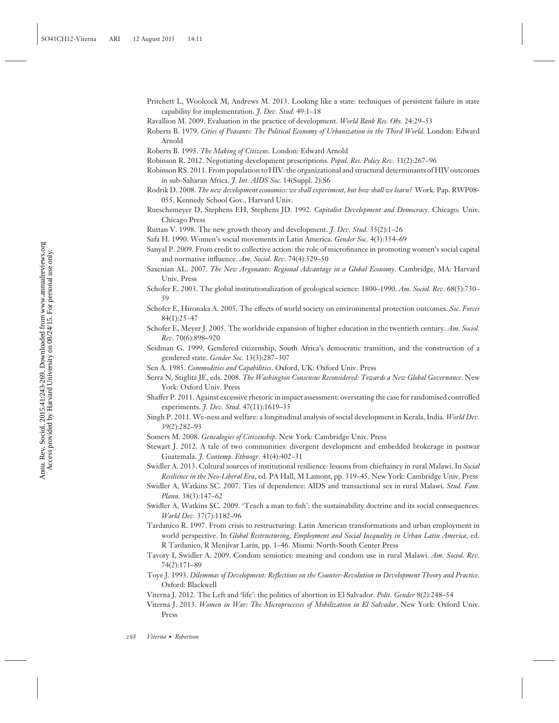- Pritchett L, Woolcock M, Andrews M. 2013. Looking like a state: techniques of persistent failure in state capability for implementation. *J. Dev. Stud.* 49:1–18
- Ravallion M. 2009. Evaluation in the practice of development. *World Bank Res. Obs.* 24:29–53
- Roberts B. 1979. *Cities of Peasants: The Political Economy of Urbanization in the Third World*. London: Edward Arnold
- Roberts B. 1995. *The Making of Citizens*. London: Edward Arnold
- Robinson R. 2012. Negotiating development prescriptions. *Popul. Res. Policy Rev.* 31(2):267–96
- Robinson RS. 2011. From population to HIV: the organizational and structural determinants of HIV outcomes in sub-Saharan Africa. *J. Int. AIDS Soc.* 14(Suppl. 2):S6
- Rodrik D. 2008. *The new development economics: we shall experiment, but how shall we learn?* Work. Pap. RWP08- 055. Kennedy School Gov., Harvard Univ.
- Rueschemeyer D, Stephens EH, Stephens JD. 1992. *Capitalist Development and Democracy*. Chicago: Univ. Chicago Press
- Ruttan V. 1998. The new growth theory and development. *J. Dev. Stud.* 35(2):1–26
- Safa H. 1990. Women's social movements in Latin America. *Gender Soc.* 4(3):354–69
- Sanyal P. 2009. From credit to collective action: the role of microfinance in promoting women's social capital and normative influence. *Am. Sociol. Rev.* 74(4):529–50
- Saxenian AL. 2007. *The New Argonauts: Regional Advantage in a Global Economy*. Cambridge, MA: Harvard Univ. Press
- Schofer E. 2003. The global institutionalization of geological science: 1800–1990. *Am. Sociol. Rev.* 68(5):730– 59
- Schofer E, Hironaka A. 2005. The effects of world society on environmental protection outcomes. *Soc. Forces* 84(1):25–47
- Schofer E, Meyer J. 2005. The worldwide expansion of higher education in the twentieth century. *Am. Sociol. Rev.* 70(6):898–920
- Seidman G. 1999. Gendered citizenship, South Africa's democratic transition, and the construction of a gendered state. *Gender Soc.* 13(3):287–307
- Sen A. 1985. *Commodities and Capabilities*. Oxford, UK: Oxford Univ. Press
- Serra N, Stiglitz JE, eds. 2008. *The Washington Consensus Reconsidered: Towards a New Global Governance*. New York: Oxford Univ. Press
- Shaffer P. 2011. Against excessive rhetoric in impact assessment: overstating the case for randomised controlled experiments. *J. Dev. Stud.* 47(11):1619–35
- Singh P. 2011. We-ness and welfare: a longitudinal analysis of social development in Kerala, India. *World Dev.* 39(2):282–93
- Somers M. 2008. *Genealogies of Citizenship*. New York: Cambridge Univ. Press
- Stewart J. 2012. A tale of two communities: divergent development and embedded brokerage in postwar Guatemala. *J. Contemp. Ethnogr.* 41(4):402–31
- Swidler A. 2013. Cultural sources of institutional resilience: lessons from chieftaincy in rural Malawi. In *Social Resilience in the Neo-Liberal Era*, ed. PA Hall, M Lamont, pp. 319–45. New York: Cambridge Univ. Press
- Swidler A, Watkins SC. 2007. Ties of dependence: AIDS and transactional sex in rural Malawi. *Stud. Fam. Plann.* 38(3):147–62
- Swidler A, Watkins SC. 2009. 'Teach a man to fish': the sustainability doctrine and its social consequences. *World Dev.* 37(7):1182–96
- Tardanico R. 1997. From crisis to restructuring: Latin American transformations and urban employment in world perspective. In *Global Restructuring, Employment and Social Inequality in Urban Latin America*, ed. R Tardanico, R Menjívar Larín, pp. 1-46. Miami: North-South Center Press
- Tavory I, Swidler A. 2009. Condom semiotics: meaning and condom use in rural Malawi. *Am. Sociol. Rev.* 74(2):171–89
- Toye J. 1993. *Dilemmas of Development: Reflections on the Counter-Revolution in Development Theory and Practice*. Oxford: Blackwell
- Viterna J. 2012. The Left and 'life': the politics of abortion in El Salvador. *Polit. Gender* 8(2):248–54
- Viterna J. 2013. *Women in War: The Microprocesses of Mobilization in El Salvador*. New York: Oxford Univ. Press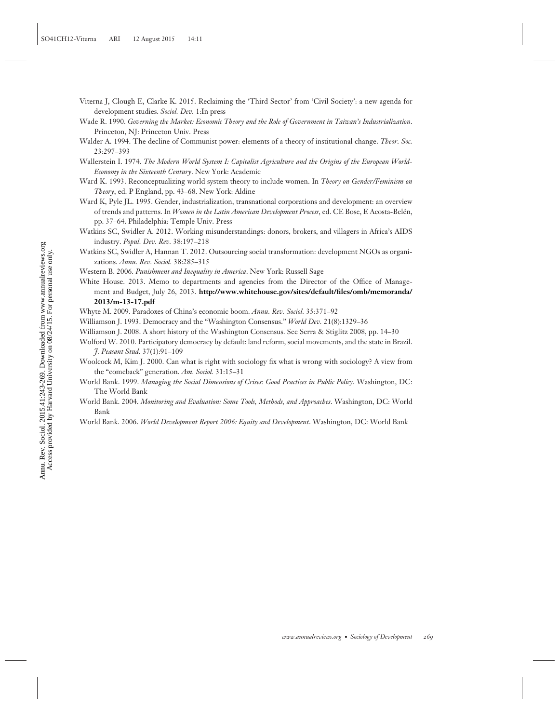- Viterna J, Clough E, Clarke K. 2015. Reclaiming the 'Third Sector' from 'Civil Society': a new agenda for development studies. *Sociol. Dev.* 1:In press
- Wade R. 1990. *Governing the Market: Economic Theory and the Role of Government in Taiwan's Industrialization*. Princeton, NJ: Princeton Univ. Press
- Walder A. 1994. The decline of Communist power: elements of a theory of institutional change. *Theor. Soc.* 23:297–393
- Wallerstein I. 1974. *The Modern World System I: Capitalist Agriculture and the Origins of the European World-Economy in the Sixteenth Century*. New York: Academic
- Ward K. 1993. Reconceptualizing world system theory to include women. In *Theory on Gender/Feminism on Theory*, ed. P England, pp. 43–68. New York: Aldine
- Ward K, Pyle JL. 1995. Gender, industrialization, transnational corporations and development: an overview of trends and patterns. In *Women in the Latin American Development Process*, ed. CE Bose, E Acosta-Belen, ´ pp. 37–64. Philadelphia: Temple Univ. Press
- Watkins SC, Swidler A. 2012. Working misunderstandings: donors, brokers, and villagers in Africa's AIDS industry. *Popul. Dev. Rev.* 38:197–218
- Watkins SC, Swidler A, Hannan T. 2012. Outsourcing social transformation: development NGOs as organizations. *Annu. Rev. Sociol.* 38:285–315
- Western B. 2006. *Punishment and Inequality in America*. New York: Russell Sage
- White House. 2013. Memo to departments and agencies from the Director of the Office of Management and Budget, July 26, 2013. **[http://www.whitehouse.gov/sites/default/files/omb/memoranda/](http://www.whitehouse.gov/sites/default/files/omb/memoranda/2013/m-13-17.pdf) [2013/m-13-17.pdf](http://www.whitehouse.gov/sites/default/files/omb/memoranda/2013/m-13-17.pdf)**
- Whyte M. 2009. Paradoxes of China's economic boom. *Annu. Rev. Sociol.* 35:371–92
- Williamson J. 1993. Democracy and the "Washington Consensus." *World Dev.* 21(8):1329–36
- Williamson J. 2008. A short history of the Washington Consensus. See Serra & Stiglitz 2008, pp. 14–30
- Wolford W. 2010. Participatory democracy by default: land reform, social movements, and the state in Brazil. *J. Peasant Stud.* 37(1):91–109
- Woolcock M, Kim J. 2000. Can what is right with sociology fix what is wrong with sociology? A view from the "comeback" generation. *Am. Sociol.* 31:15–31
- World Bank. 1999. *Managing the Social Dimensions of Crises: Good Practices in Public Policy*. Washington, DC: The World Bank
- World Bank. 2004. *Monitoring and Evaluation: Some Tools, Methods, and Approaches*. Washington, DC: World Bank
- World Bank. 2006. *World Development Report 2006: Equity and Development*. Washington, DC: World Bank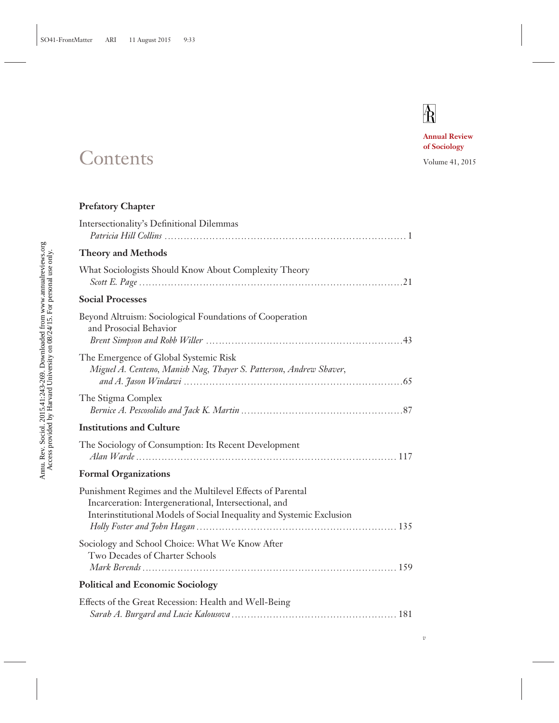# $\mathbf{\overline{R}}$

**Annual Review of Sociology**

# Contents Volume 41, 2015

|                              | al uca only<br>$_{-7}$ on 08/24/15. For person-<br>i<br>lai valu Ulliveisi |
|------------------------------|----------------------------------------------------------------------------|
| Sociol. 2015.41:243-269. Dow | у Наг                                                                      |
| $\Delta$ nnu                 | ;                                                                          |

## **Prefatory Chapter**

| Intersectionality's Definitional Dilemmas                                                                                                                                                   |
|---------------------------------------------------------------------------------------------------------------------------------------------------------------------------------------------|
| <b>Theory and Methods</b>                                                                                                                                                                   |
| What Sociologists Should Know About Complexity Theory                                                                                                                                       |
| <b>Social Processes</b>                                                                                                                                                                     |
| Beyond Altruism: Sociological Foundations of Cooperation<br>and Prosocial Behavior                                                                                                          |
| The Emergence of Global Systemic Risk<br>Miguel A. Centeno, Manish Nag, Thayer S. Patterson, Andrew Shaver,                                                                                 |
| The Stigma Complex                                                                                                                                                                          |
| <b>Institutions and Culture</b>                                                                                                                                                             |
| The Sociology of Consumption: Its Recent Development                                                                                                                                        |
| <b>Formal Organizations</b>                                                                                                                                                                 |
| Punishment Regimes and the Multilevel Effects of Parental<br>Incarceration: Intergenerational, Intersectional, and<br>Interinstitutional Models of Social Inequality and Systemic Exclusion |
| Sociology and School Choice: What We Know After<br>Two Decades of Charter Schools                                                                                                           |
| <b>Political and Economic Sociology</b>                                                                                                                                                     |
| Effects of the Great Recession: Health and Well-Being                                                                                                                                       |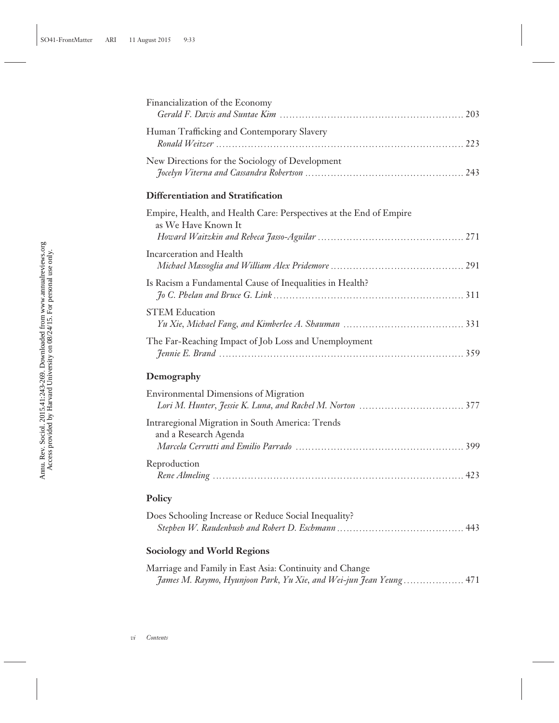| Financialization of the Economy                                                                                               |
|-------------------------------------------------------------------------------------------------------------------------------|
| Human Trafficking and Contemporary Slavery                                                                                    |
| New Directions for the Sociology of Development                                                                               |
| Differentiation and Stratification                                                                                            |
| Empire, Health, and Health Care: Perspectives at the End of Empire<br>as We Have Known It                                     |
| Incarceration and Health                                                                                                      |
| Is Racism a Fundamental Cause of Inequalities in Health?                                                                      |
| <b>STEM Education</b>                                                                                                         |
| The Far-Reaching Impact of Job Loss and Unemployment                                                                          |
| Demography                                                                                                                    |
| <b>Environmental Dimensions of Migration</b>                                                                                  |
| Intraregional Migration in South America: Trends<br>and a Research Agenda                                                     |
|                                                                                                                               |
| Reproduction                                                                                                                  |
| Policy                                                                                                                        |
| Does Schooling Increase or Reduce Social Inequality?                                                                          |
| <b>Sociology and World Regions</b>                                                                                            |
| Marriage and Family in East Asia: Continuity and Change<br>James M. Raymo, Hyunjoon Park, Yu Xie, and Wei-jun Jean Yeung  471 |